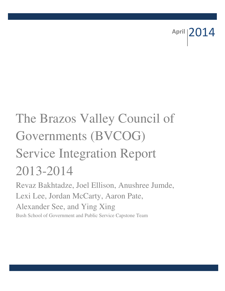April 2014

# The Brazos Valley Council of Governments (BVCOG) Service Integration Report 2013-2014

Revaz Bakhtadze, Joel Ellison, Anushree Jumde, Lexi Lee, Jordan McCarty, Aaron Pate, Alexander See, and Ying Xing Bush School of Government and Public Service Capstone Team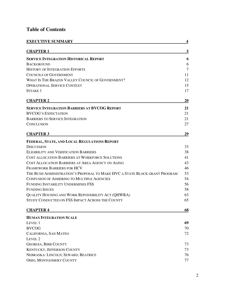# **Table of Contents**

| <b>EXECUTIVE SUMMARY</b>                                                   | 4      |
|----------------------------------------------------------------------------|--------|
| <u>CHAPTER 1</u>                                                           | 5      |
| <b>SERVICE INTEGRATION HISTORICAL REPORT</b>                               | 6      |
| <b>BACKGROUND</b>                                                          | 6      |
| <b>HISTORY OF INTEGRATION EFFORTS</b>                                      | $\tau$ |
| <b>COUNCILS OF GOVERNMENT</b>                                              | 11     |
| WHAT IS THE BRAZOS VALLEY COUNCIL OF GOVERNMENT?                           | 12     |
| <b>OPERATIONAL SERVICE CONTEXT</b>                                         | 15     |
| <b>INTAKE 1</b>                                                            | 17     |
| <b>CHAPTER 2</b>                                                           | 20     |
| <b>SERVICE INTEGRATION BARRIERS AT BVCOG REPORT</b>                        | 21     |
| <b>BVCOG'S EXPECTATION</b>                                                 | 21     |
| <b>BARRIERS TO SERVICE INTEGRATION</b>                                     | 21     |
| CONCLUSION                                                                 | 27     |
| <b>CHAPTER 3</b>                                                           | 29     |
| FEDERAL, STATE, AND LOCAL REGULATIONS REPORT                               |        |
| Discussion                                                                 | 33     |
| ELIGIBILITY AND VERIFICATION BARRIERS                                      | 38     |
| COST ALLOCATION BARRIERS AT WORKFORCE SOLUTIONS                            | 41     |
| COST ALLOCATION BARRIERS AT AREA AGENCY ON AGING                           | 43     |
| FRAMEWORK BARRIERS FOR HCV                                                 | 46     |
| THE BUSH ADMINISTRATION'S PROPOSAL TO MAKE HVC A STATE BLOCK GRANT PROGRAM | 53     |
| CONFUSION OF ADHERING TO MULTIPLE AGENCIES                                 | 54     |
| FUNDING INSTABILITY UNDERMINES FSS                                         | 56     |
| <b>FUNDING ISSUES</b>                                                      | 58     |
| QUALITY HOUSING AND WORK REPONSIBILITY ACT (QHWRA)                         | 63     |
| STUDY CONDUCTED ON FSS IMPACT ACROSS THE COUNTY                            | 65     |
| <b>CHAPTER 4</b>                                                           | 68     |
| <b>HUMAN INTEGRATION SCALE</b>                                             |        |
| Level 1                                                                    | 69     |
| <b>BVCOG</b>                                                               | 70     |
| CALIFORNIA, SAN MATEO                                                      | 72     |
| LEVEL 2                                                                    |        |
| <b>GEORGIA, BIBB COUNTY</b>                                                | 73     |
| <b>KENTUCKY, JEFFERSON COUNTY</b>                                          | 73     |
| NEBRASKA: LINCOLN, SEWARD, BEATRICE                                        | 76     |
| <b>OHIO, MONTGOMERY COUNTY</b>                                             | 77     |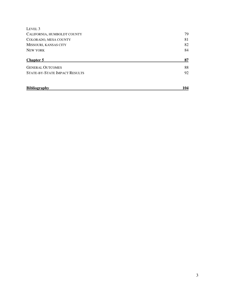| LEVEL <sub>3</sub>            |     |
|-------------------------------|-----|
| CALIFORNIA, HUMBOLDT COUNTY   | 79  |
| COLORADO, MESA COUNTY         | 81  |
| MISSOURI, KANSAS CITY         | 82  |
| <b>NEW YORK</b>               | 84  |
| <b>Chapter 5</b>              | 87  |
| <b>GENERAL OUTCOMES</b>       | 88  |
| STATE-BY-STATE IMPACT RESULTS | 92  |
| <b>Bibliography</b>           | 104 |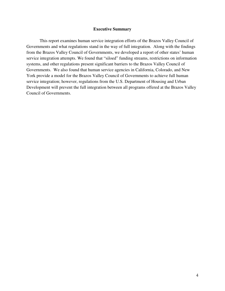# **Executive Summary**

This report examines human service integration efforts of the Brazos Valley Council of Governments and what regulations stand in the way of full integration. Along with the findings from the Brazos Valley Council of Governments, we developed a report of other states' human service integration attempts. We found that "siloed" funding streams, restrictions on information systems, and other regulations present significant barriers to the Brazos Valley Council of Governments. We also found that human service agencies in California, Colorado, and New York provide a model for the Brazos Valley Council of Governments to achieve full human service integration; however, regulations from the U.S. Department of Housing and Urban Development will prevent the full integration between all programs offered at the Brazos Valley Council of Governments.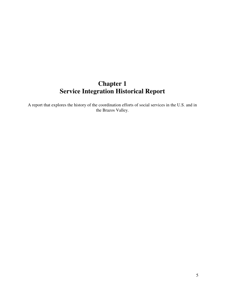# **Chapter 1 Service Integration Historical Report**

A report that explores the history of the coordination efforts of social services in the U.S. and in the Brazos Valley.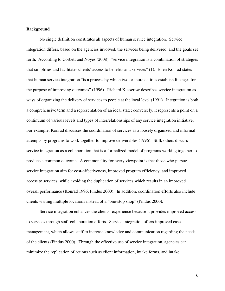# **Background**

No single definition constitutes all aspects of human service integration. Service integration differs, based on the agencies involved, the services being delivered, and the goals set forth. According to Corbett and Noyes (2008), "service integration is a combination of strategies that simplifies and facilitates clients' access to benefits and services" (1). Ellen Konrad states that human service integration "is a process by which two or more entities establish linkages for the purpose of improving outcomes" (1996). Richard Kusserow describes service integration as ways of organizing the delivery of services to people at the local level (1991). Integration is both a comprehensive term and a representation of an ideal state; conversely, it represents a point on a continuum of various levels and types of interrelationships of any service integration initiative. For example, Konrad discusses the coordination of services as a loosely organized and informal attempts by programs to work together to improve deliverables (1996). Still, others discuss service integration as a collaboration that is a formalized model of programs working together to produce a common outcome. A commonality for every viewpoint is that those who pursue service integration aim for cost-effectiveness, improved program efficiency, and improved access to services, while avoiding the duplication of services which results in an improved overall performance (Konrad 1996, Pindus 2000). In addition, coordination efforts also include clients visiting multiple locations instead of a "one-stop shop" (Pindus 2000).

Service integration enhances the clients' experience because it provides improved access to services through staff collaboration efforts. Service integration offers improved case management, which allows staff to increase knowledge and communication regarding the needs of the clients (Pindus 2000). Through the effective use of service integration, agencies can minimize the replication of actions such as client information, intake forms, and intake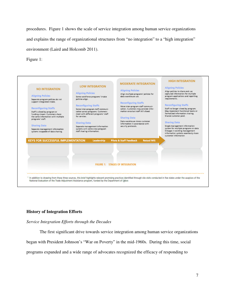procedures. Figure 1 shows the scale of service integration among human service organizations and explains the range of organizational structures from "no integration" to a "high integration" environment (Laird and Holcomb 2011).

Figure 1:



# **History of Integration Efforts**

*Service Integration Efforts through the Decades* 

The first significant drive towards service integration among human service organizations

began with President Johnson's "War on Poverty" in the mid-1960s. During this time, social

programs expanded and a wide range of advocates recognized the efficacy of responding to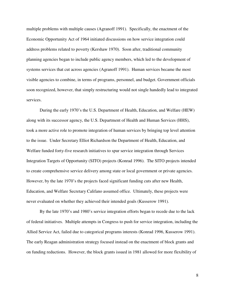multiple problems with multiple causes (Agranoff 1991). Specifically, the enactment of the Economic Opportunity Act of 1964 initiated discussions on how service integration could address problems related to poverty (Kershaw 1970). Soon after, traditional community planning agencies began to include public agency members, which led to the development of systems services that cut across agencies (Agranoff 1991). Human services became the most visible agencies to combine, in terms of programs, personnel, and budget. Government officials soon recognized, however, that simply restructuring would not single handedly lead to integrated services.

During the early 1970's the U.S. Department of Health, Education, and Welfare (HEW) along with its successor agency, the U.S. Department of Health and Human Services (HHS), took a more active role to promote integration of human services by bringing top level attention to the issue. Under Secretary Elliot Richardson the Department of Health, Education, and Welfare funded forty-five research initiatives to spur service integration through Services Integration Targets of Opportunity (SITO) projects (Konrad 1996). The SITO projects intended to create comprehensive service delivery among state or local government or private agencies. However, by the late 1970's the projects faced significant funding cuts after new Health, Education, and Welfare Secretary Califano assumed office. Ultimately, these projects were never evaluated on whether they achieved their intended goals (Kusserow 1991).

By the late 1970's and 1980's service integration efforts began to recede due to the lack of federal initiatives. Multiple attempts in Congress to push for service integration, including the Allied Service Act, failed due to categorical programs interests (Konrad 1996, Kusserow 1991). The early Reagan administration strategy focused instead on the enactment of block grants and on funding reductions. However, the block grants issued in 1981 allowed for more flexibility of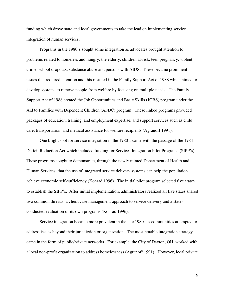funding which drove state and local governments to take the lead on implementing service integration of human services.

Programs in the 1980's sought some integration as advocates brought attention to problems related to homeless and hungry, the elderly, children at-risk, teen pregnancy, violent crime, school dropouts, substance abuse and persons with AIDS. These became prominent issues that required attention and this resulted in the Family Support Act of 1988 which aimed to develop systems to remove people from welfare by focusing on multiple needs. The Family Support Act of 1988 created the Job Opportunities and Basic Skills (JOBS) program under the Aid to Families with Dependent Children (AFDC) program. These linked programs provided packages of education, training, and employment expertise, and support services such as child care, transportation, and medical assistance for welfare recipients (Agranoff 1991).

One bright spot for service integration in the 1980's came with the passage of the 1984 Deficit Reduction Act which included funding for Services Integration Pilot Programs (SIPP's). These programs sought to demonstrate, through the newly minted Department of Health and Human Services, that the use of integrated service delivery systems can help the population achieve economic self-sufficiency (Konrad 1996). The initial pilot program selected five states to establish the SIPP's. After initial implementation, administrators realized all five states shared two common threads: a client case management approach to service delivery and a stateconducted evaluation of its own programs (Konrad 1996).

Service integration became more prevalent in the late 1980s as communities attempted to address issues beyond their jurisdiction or organization. The most notable integration strategy came in the form of public/private networks. For example, the City of Dayton, OH, worked with a local non-profit organization to address homelessness (Agranoff 1991). However, local private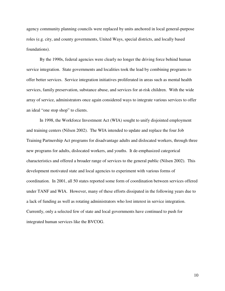agency community planning councils were replaced by units anchored in local general-purpose roles (e.g. city, and county governments, United Ways, special districts, and locally based foundations).

By the 1990s, federal agencies were clearly no longer the driving force behind human service integration. State governments and localities took the lead by combining programs to offer better services. Service integration initiatives proliferated in areas such as mental health services, family preservation, substance abuse, and services for at-risk children. With the wide array of service, administrators once again considered ways to integrate various services to offer an ideal "one stop shop" to clients.

In 1998, the Workforce Investment Act (WIA) sought to unify disjointed employment and training centers (Nilsen 2002). The WIA intended to update and replace the four Job Training Partnership Act programs for disadvantage adults and dislocated workers, through three new programs for adults, dislocated workers, and youths. It de-emphasized categorical characteristics and offered a broader range of services to the general public (Nilsen 2002). This development motivated state and local agencies to experiment with various forms of coordination. In 2001, all 50 states reported some form of coordination between services offered under TANF and WIA. However, many of these efforts dissipated in the following years due to a lack of funding as well as rotating administrators who lost interest in service integration. Currently, only a selected few of state and local governments have continued to push for integrated human services like the BVCOG.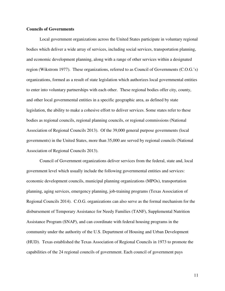# **Councils of Governments**

 Local government organizations across the United States participate in voluntary regional bodies which deliver a wide array of services, including social services, transportation planning, and economic development planning, along with a range of other services within a designated region (Wikstrom 1977). These organizations, referred to as Council of Governments (C.O.G.'s) organizations, formed as a result of state legislation which authorizes local governmental entities to enter into voluntary partnerships with each other. These regional bodies offer city, county, and other local governmental entities in a specific geographic area, as defined by state legislation, the ability to make a cohesive effort to deliver services. Some states refer to these bodies as regional councils, regional planning councils, or regional commissions (National Association of Regional Councils 2013). Of the 39,000 general purpose governments (local governments) in the United States, more than 35,000 are served by regional councils (National Association of Regional Councils 2013).

Council of Government organizations deliver services from the federal, state and, local government level which usually include the following governmental entities and services: economic development councils, municipal planning organizations (MPOs), transportation planning, aging services, emergency planning, job-training programs (Texas Association of Regional Councils 2014). C.O.G. organizations can also serve as the formal mechanism for the disbursement of Temporary Assistance for Needy Families (TANF), Supplemental Nutrition Assistance Program (SNAP), and can coordinate with federal housing programs in the community under the authority of the U.S. Department of Housing and Urban Development (HUD). Texas established the Texas Association of Regional Councils in 1973 to promote the capabilities of the 24 regional councils of government. Each council of government pays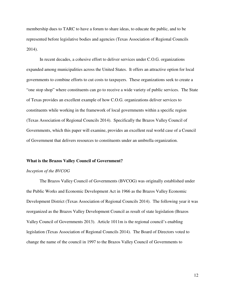membership dues to TARC to have a forum to share ideas, to educate the public, and to be represented before legislative bodies and agencies (Texas Association of Regional Councils 2014).

 In recent decades, a cohesive effort to deliver services under C.O.G. organizations expanded among municipalities across the United States. It offers an attractive option for local governments to combine efforts to cut costs to taxpayers. These organizations seek to create a "one stop shop" where constituents can go to receive a wide variety of public services. The State of Texas provides an excellent example of how C.O.G. organizations deliver services to constituents while working in the framework of local governments within a specific region (Texas Association of Regional Councils 2014). Specifically the Brazos Valley Council of Governments, which this paper will examine, provides an excellent real world case of a Council of Government that delivers resources to constituents under an umbrella organization.

#### **What is the Brazos Valley Council of Government?**

# *Inception of the BVCOG*

The Brazos Valley Council of Governments (BVCOG) was originally established under the Public Works and Economic Development Act in 1966 as the Brazos Valley Economic Development District (Texas Association of Regional Councils 2014). The following year it was reorganized as the Brazos Valley Development Council as result of state legislation (Brazos Valley Council of Governments 2013). Article 1011m is the regional council's enabling legislation (Texas Association of Regional Councils 2014). The Board of Directors voted to change the name of the council in 1997 to the Brazos Valley Council of Governments to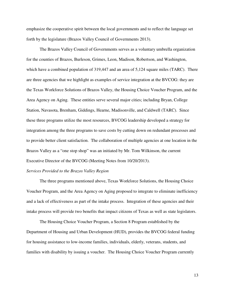emphasize the cooperative spirit between the local governments and to reflect the language set forth by the legislature (Brazos Valley Council of Governments 2013).

 The Brazos Valley Council of Governments serves as a voluntary umbrella organization for the counties of Brazos, Burleson, Grimes, Leon, Madison, Robertson, and Washington, which have a combined population of 319,447 and an area of 5,124 square miles (TARC). There are three agencies that we highlight as examples of service integration at the BVCOG: they are the Texas Workforce Solutions of Brazos Valley, the Housing Choice Voucher Program, and the Area Agency on Aging. These entities serve several major cities; including Bryan, College Station, Navasota, Brenham, Giddings, Hearne, Madisonville, and Caldwell (TARC). Since these three programs utilize the most resources, BVCOG leadership developed a strategy for integration among the three programs to save costs by cutting down on redundant processes and to provide better client satisfaction. The collaboration of multiple agencies at one location in the Brazos Valley as a "one stop shop" was an initiated by Mr. Tom Wilkinson, the current Executive Director of the BVCOG (Meeting Notes from 10/20/2013).

# *Services Provided to the Brazos Valley Region*

The three programs mentioned above, Texas Workforce Solutions, the Housing Choice Voucher Program, and the Area Agency on Aging proposed to integrate to eliminate inefficiency and a lack of effectiveness as part of the intake process. Integration of these agencies and their intake process will provide two benefits that impact citizens of Texas as well as state legislators.

The Housing Choice Voucher Program, a Section 8 Program established by the Department of Housing and Urban Development (HUD), provides the BVCOG federal funding for housing assistance to low-income families, individuals, elderly, veterans, students, and families with disability by issuing a voucher. The Housing Choice Voucher Program currently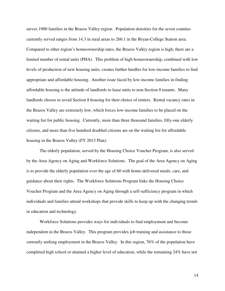serves 1900 families in the Brazos Valley region. Population densities for the seven counties currently served ranges from 14.3 in rural areas to 260.1 in the Bryan-College Station area. Compared to other region's homeownership rates, the Brazos Valley region is high; there are a limited number of rental units (PHA). This problem of high homeownership, combined with low levels of production of new housing units, creates further hurdles for low-income families to find appropriate and affordable housing. Another issue faced by low-income families in finding affordable housing is the attitude of landlords to lease units to non-Section 8 tenants. Many landlords choose to avoid Section 8 housing for their choice of renters. Rental vacancy rates in the Brazos Valley are extremely low, which forces low-income families to be placed on the waiting list for public housing. Currently, more than three thousand families, fifty-one elderly citizens, and more than five hundred disabled citizens are on the waiting list for affordable housing in the Brazos Valley (FY 2013 Plan).

The elderly population, served by the Housing Choice Voucher Program, is also served by the Area Agency on Aging and Workforce Solutions. The goal of the Area Agency on Aging is to provide the elderly population over the age of 60 with home-delivered meals, care, and guidance about their rights. The Workforce Solutions Program links the Housing Choice Voucher Program and the Area Agency on Aging through a self-sufficiency program in which individuals and families attend workshops that provide skills to keep up with the changing trends in education and technology.

 Workforce Solutions provides ways for individuals to find employment and become independent in the Brazos Valley. This program provides job training and assistance to those currently seeking employment in the Brazos Valley. In this region, 76% of the population have completed high school or attained a higher level of education, while the remaining 24% have not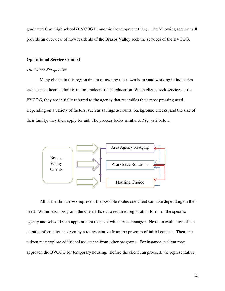graduated from high school (BVCOG Economic Development Plan). The following section will provide an overview of how residents of the Brazos Valley seek the services of the BVCOG.

# **Operational Service Context**

#### *The Client Perspective*

Many clients in this region dream of owning their own home and working in industries such as healthcare, administration, tradecraft, and education. When clients seek services at the BVCOG, they are initially referred to the agency that resembles their most pressing need. Depending on a variety of factors, such as savings accounts, background checks, and the size of their family, they then apply for aid. The process looks similar to *Figure 2* below:



All of the thin arrows represent the possible routes one client can take depending on their need. Within each program, the client fills out a required registration form for the specific agency and schedules an appointment to speak with a case manager. Next, an evaluation of the client's information is given by a representative from the program of initial contact. Then, the citizen may explore additional assistance from other programs. For instance, a client may approach the BVCOG for temporary housing. Before the client can proceed, the representative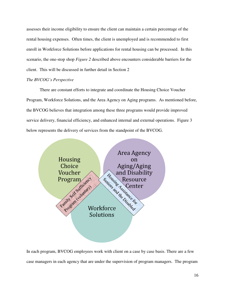assesses their income eligibility to ensure the client can maintain a certain percentage of the rental housing expenses. Often times, the client is unemployed and is recommended to first enroll in Workforce Solutions before applications for rental housing can be processed. In this scenario, the one-stop shop *Figure 2* described above encounters considerable barriers for the client. This will be discussed in further detail in Section 2

# *The BVCOG's Perspective*

There are constant efforts to integrate and coordinate the Housing Choice Voucher Program, Workforce Solutions, and the Area Agency on Aging programs. As mentioned before, the BVCOG believes that integration among these three programs would provide improved service delivery, financial efficiency, and enhanced internal and external operations. Figure 3 below represents the delivery of services from the standpoint of the BVCOG.



In each program, BVCOG employees work with client on a case by case basis. There are a few case managers in each agency that are under the supervision of program managers. The program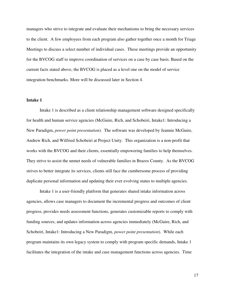managers who strive to integrate and evaluate their mechanisms to bring the necessary services to the client. A few employees from each program also gather together once a month for Triage Meetings to discuss a select number of individual cases. These meetings provide an opportunity for the BVCOG staff to improve coordination of services on a case by case basis. Based on the current facts stated above, the BVCOG is placed as a level one on the model of service integration benchmarks. More will be discussed later in Section 4.

# **Intake 1**

Intake 1 is described as a client relationship management software designed specifically for health and human service agencies (McGuire, Rich, and Schobeiri, Intake1: Introducing a New Paradigm, *power point presentation*). The software was developed by Jeannie McGuire, Andrew Rich, and Wilfried Schobeiri at Project Unity. This organization is a non-profit that works with the BVCOG and their clients, essentially empowering families to help themselves. They strive to assist the unmet needs of vulnerable families in Brazos County. As the BVCOG strives to better integrate its services, clients still face the cumbersome process of providing duplicate personal information and updating their ever evolving status to multiple agencies.

Intake 1 is a user-friendly platform that generates shared intake information across agencies, allows case managers to document the incremental progress and outcomes of client progress, provides needs assessment functions, generates customizable reports to comply with funding sources, and updates information across agencies immediately (McGuire, Rich, and Schobeiri, Intake1: Introducing a New Paradigm, *power point presentation*). While each program maintains its own legacy system to comply with program specific demands, Intake 1 facilitates the integration of the intake and case management functions across agencies. Time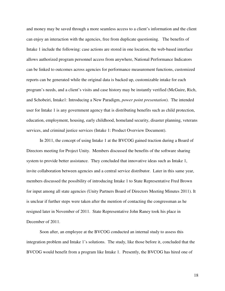and money may be saved through a more seamless access to a client's information and the client can enjoy an interaction with the agencies, free from duplicate questioning. The benefits of Intake 1 include the following: case actions are stored in one location, the web-based interface allows authorized program personnel access from anywhere, National Performance Indicators can be linked to outcomes across agencies for performance measurement functions, customized reports can be generated while the original data is backed up, customizable intake for each program's needs, and a client's visits and case history may be instantly verified (McGuire, Rich, and Schobeiri, Intake1: Introducing a New Paradigm, *power point presentation*). The intended user for Intake 1 is any government agency that is distributing benefits such as child protection, education, employment, housing, early childhood, homeland security, disaster planning, veterans services, and criminal justice services (Intake 1: Product Overview Document).

In 2011, the concept of using Intake 1 at the BVCOG gained traction during a Board of Directors meeting for Project Unity. Members discussed the benefits of the software sharing system to provide better assistance. They concluded that innovative ideas such as Intake 1, invite collaboration between agencies and a central service distributor. Later in this same year, members discussed the possibility of introducing Intake 1 to State Representative Fred Brown for input among all state agencies (Unity Partners Board of Directors Meeting Minutes 2011). It is unclear if further steps were taken after the mention of contacting the congressman as he resigned later in November of 2011. State Representative John Raney took his place in December of 2011.

Soon after, an employee at the BVCOG conducted an internal study to assess this integration problem and Intake 1's solutions. The study, like those before it, concluded that the BVCOG would benefit from a program like Intake 1. Presently, the BVCOG has hired one of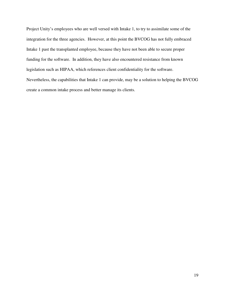Project Unity's employees who are well versed with Intake 1, to try to assimilate some of the integration for the three agencies. However, at this point the BVCOG has not fully embraced Intake 1 past the transplanted employee, because they have not been able to secure proper funding for the software. In addition, they have also encountered resistance from known legislation such as HIPAA, which references client confidentiality for the software. Nevertheless, the capabilities that Intake 1 can provide, may be a solution to helping the BVCOG create a common intake process and better manage its clients.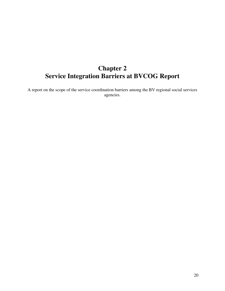# **Chapter 2 Service Integration Barriers at BVCOG Report**

A report on the scope of the service coordination barriers among the BV regional social services agencies.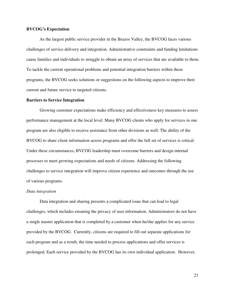# **BVCOG's Expectation**

As the largest public service provider in the Brazos Valley, the BVCOG faces various challenges of service delivery and integration. Administrative constraints and funding limitations cause families and individuals to struggle to obtain an array of services that are available to them. To tackle the current operational problems and potential integration barriers within these programs, the BVCOG seeks solutions or suggestions on the following aspects to improve their current and future service to targeted citizens.

#### **Barriers to Service Integration**

Growing customer expectations make efficiency and effectiveness key measures to assess performance management at the local level. Many BVCOG clients who apply for services in one program are also eligible to receive assistance from other divisions as well. The ability of the BVCOG to share client information across programs and offer the full set of services is critical. Under these circumstances, BVCOG leadership must overcome barriers and design internal processes to meet growing expectations and needs of citizens. Addressing the following challenges to service integration will improve citizen experience and outcomes through the use of various programs.

#### *Data integration*

Data integration and sharing presents a complicated issue that can lead to legal challenges, which includes ensuring the privacy of user information. Administrators do not have a single master application that is completed by a customer when he/she applies for any service provided by the BVCOG. Currently, citizens are required to fill out separate applications for each program and as a result, the time needed to process applications and offer services is prolonged. Each service provided by the BVCOG has its own individual application. However,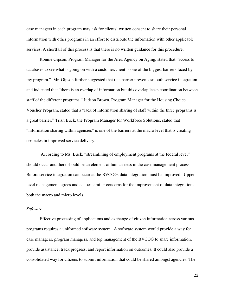case managers in each program may ask for clients' written consent to share their personal information with other programs in an effort to distribute the information with other applicable services. A shortfall of this process is that there is no written guidance for this procedure.

Ronnie Gipson, Program Manager for the Area Agency on Aging, stated that "access to databases to see what is going on with a customer/client is one of the biggest barriers faced by my program." Mr. Gipson further suggested that this barrier prevents smooth service integration and indicated that "there is an overlap of information but this overlap lacks coordination between staff of the different programs." Judson Brown, Program Manager for the Housing Choice Voucher Program, stated that a "lack of information sharing of staff within the three programs is a great barrier." Trish Buck, the Program Manager for Workforce Solutions, stated that "information sharing within agencies" is one of the barriers at the macro level that is creating obstacles in improved service delivery.

 According to Ms. Buck, "streamlining of employment programs at the federal level" should occur and there should be an element of human-ness in the case management process. Before service integration can occur at the BVCOG, data integration must be improved. Upperlevel management agrees and echoes similar concerns for the improvement of data integration at both the macro and micro levels.

# *Software*

Effective processing of applications and exchange of citizen information across various programs requires a uniformed software system. A software system would provide a way for case managers, program managers, and top management of the BVCOG to share information, provide assistance, track progress, and report information on outcomes. It could also provide a consolidated way for citizens to submit information that could be shared amongst agencies. The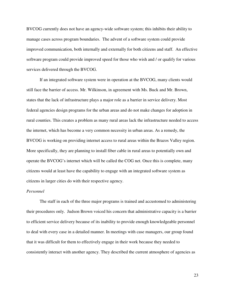BVCOG currently does not have an agency-wide software system; this inhibits their ability to manage cases across program boundaries. The advent of a software system could provide improved communication, both internally and externally for both citizens and staff. An effective software program could provide improved speed for those who wish and / or qualify for various services delivered through the BVCOG.

If an integrated software system were in operation at the BVCOG, many clients would still face the barrier of access. Mr. Wilkinson, in agreement with Ms. Buck and Mr. Brown, states that the lack of infrastructure plays a major role as a barrier in service delivery. Most federal agencies design programs for the urban areas and do not make changes for adoption in rural counties. This creates a problem as many rural areas lack the infrastructure needed to access the internet, which has become a very common necessity in urban areas. As a remedy, the BVCOG is working on providing internet access to rural areas within the Brazos Valley region. More specifically, they are planning to install fiber cable in rural areas to potentially own and operate the BVCOG's internet which will be called the COG net. Once this is complete, many citizens would at least have the capability to engage with an integrated software system as citizens in larger cities do with their respective agency.

# *Personnel*

The staff in each of the three major programs is trained and accustomed to administering their procedures only. Judson Brown voiced his concern that administrative capacity is a barrier to efficient service delivery because of its inability to provide enough knowledgeable personnel to deal with every case in a detailed manner. In meetings with case managers, our group found that it was difficult for them to effectively engage in their work because they needed to consistently interact with another agency. They described the current atmosphere of agencies as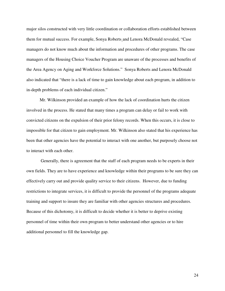major silos constructed with very little coordination or collaboration efforts established between them for mutual success. For example, Sonya Roberts and Lenora McDonald revealed, "Case managers do not know much about the information and procedures of other programs. The case managers of the Housing Choice Voucher Program are unaware of the processes and benefits of the Area Agency on Aging and Workforce Solutions." Sonya Roberts and Lenora McDonald also indicated that "there is a lack of time to gain knowledge about each program, in addition to in-depth problems of each individual citizen."

Mr. Wilkinson provided an example of how the lack of coordination hurts the citizen involved in the process. He stated that many times a program can delay or fail to work with convicted citizens on the expulsion of their prior felony records. When this occurs, it is close to impossible for that citizen to gain employment. Mr. Wilkinson also stated that his experience has been that other agencies have the potential to interact with one another, but purposely choose not to interact with each other.

 Generally, there is agreement that the staff of each program needs to be experts in their own fields. They are to have experience and knowledge within their programs to be sure they can effectively carry out and provide quality service to their citizens. However, due to funding restrictions to integrate services, it is difficult to provide the personnel of the programs adequate training and support to insure they are familiar with other agencies structures and procedures. Because of this dichotomy, it is difficult to decide whether it is better to deprive existing personnel of time within their own program to better understand other agencies or to hire additional personnel to fill the knowledge gap.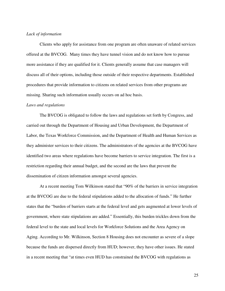# *Lack of information*

Clients who apply for assistance from one program are often unaware of related services offered at the BVCOG. Many times they have tunnel vision and do not know how to pursue more assistance if they are qualified for it. Clients generally assume that case managers will discuss all of their options, including those outside of their respective departments. Established procedures that provide information to citizens on related services from other programs are missing. Sharing such information usually occurs on ad hoc basis.

#### *Laws and regulations*

The BVCOG is obligated to follow the laws and regulations set forth by Congress, and carried out through the Department of Housing and Urban Development, the Department of Labor, the Texas Workforce Commission, and the Department of Health and Human Services as they administer services to their citizens. The administrators of the agencies at the BVCOG have identified two areas where regulations have become barriers to service integration. The first is a restriction regarding their annual budget, and the second are the laws that prevent the dissemination of citizen information amongst several agencies.

At a recent meeting Tom Wilkinson stated that "90% of the barriers in service integration at the BVCOG are due to the federal stipulations added to the allocation of funds." He further states that the "burden of barriers starts at the federal level and gets augmented at lower levels of government, where state stipulations are added." Essentially, this burden trickles down from the federal level to the state and local levels for Workforce Solutions and the Area Agency on Aging. According to Mr. Wilkinson, Section 8 Housing does not encounter as severe of a slope because the funds are dispersed directly from HUD; however, they have other issues. He stated in a recent meeting that "at times even HUD has constrained the BVCOG with regulations as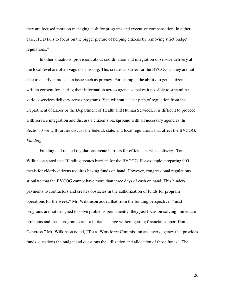they are focused more on managing cash for programs and executive compensation. In either case, HUD fails to focus on the bigger picture of helping citizens by removing strict budget regulations."

In other situations, provisions about coordination and integration of service delivery at the local level are often vague or missing. This creates a barrier for the BVCOG as they are not able to clearly approach an issue such as privacy. For example, the ability to get a citizen's written consent for sharing their information across agencies makes it possible to streamline various services delivery across programs. Yet, without a clear path of regulation from the Department of Labor or the Department of Health and Human Services, it is difficult to proceed with service integration and discuss a citizen's background with all necessary agencies. In Section 3 we will further discuss the federal, state, and local regulations that affect the BVCOG. *Funding* 

Funding and related regulations create barriers for efficient service delivery. Tom Wilkinson stated that "funding creates barriers for the BVCOG. For example, preparing 900 meals for elderly citizens requires having funds on hand. However, congressional regulations stipulate that the BVCOG cannot have more than three days of cash on hand. This hinders payments to contractors and creates obstacles in the authorization of funds for program operations for the week." Mr. Wilkinson added that from the funding perspective, "most programs are not designed to solve problems permanently, they just focus on solving immediate problems and these programs cannot initiate change without getting financial support from Congress." Mr. Wilkinson noted, "Texas Workforce Commission and every agency that provides funds, questions the budget and questions the utilization and allocation of those funds." The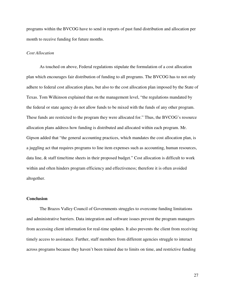programs within the BVCOG have to send in reports of past fund distribution and allocation per month to receive funding for future months.

# *Cost Allocation*

As touched on above, Federal regulations stipulate the formulation of a cost allocation plan which encourages fair distribution of funding to all programs. The BVCOG has to not only adhere to federal cost allocation plans, but also to the cost allocation plan imposed by the State of Texas. Tom Wilkinson explained that on the management level, "the regulations mandated by the federal or state agency do not allow funds to be mixed with the funds of any other program. These funds are restricted to the program they were allocated for." Thus, the BVCOG's resource allocation plans address how funding is distributed and allocated within each program. Mr. Gipson added that "the general accounting practices, which mandates the cost allocation plan, is a juggling act that requires programs to line item expenses such as accounting, human resources, data line, & staff time/time sheets in their proposed budget." Cost allocation is difficult to work within and often hinders program efficiency and effectiveness; therefore it is often avoided altogether.

# **Conclusion**

 The Brazos Valley Council of Governments struggles to overcome funding limitations and administrative barriers. Data integration and software issues prevent the program managers from accessing client information for real-time updates. It also prevents the client from receiving timely access to assistance. Further, staff members from different agencies struggle to interact across programs because they haven't been trained due to limits on time, and restrictive funding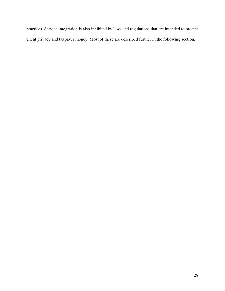practices. Service integration is also inhibited by laws and regulations that are intended to protect client privacy and taxpayer money. Most of these are described further in the following section.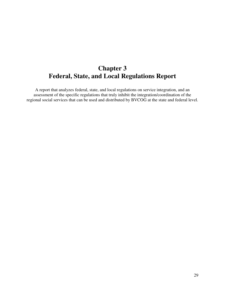# **Chapter 3 Federal, State, and Local Regulations Report**

A report that analyzes federal, state, and local regulations on service integration, and an assessment of the specific regulations that truly inhibit the integration/coordination of the regional social services that can be used and distributed by BVCOG at the state and federal level.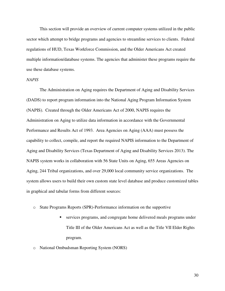This section will provide an overview of current computer systems utilized in the public sector which attempt to bridge programs and agencies to streamline services to clients. Federal regulations of HUD, Texas Workforce Commission, and the Older Americans Act created multiple information/database systems. The agencies that administer these programs require the use these database systems.

# *NAPIS*

 The Administration on Aging requires the Department of Aging and Disability Services (DADS) to report program information into the National Aging Program Information System (NAPIS). Created through the Older Americans Act of 2000, NAPIS requires the Administration on Aging to utilize data information in accordance with the Governmental Performance and Results Act of 1993. Area Agencies on Aging (AAA) must possess the capability to collect, compile, and report the required NAPIS information to the Department of Aging and Disability Services (Texas Department of Aging and Disability Services 2013). The NAPIS system works in collaboration with 56 State Units on Aging, 655 Areas Agencies on Aging, 244 Tribal organizations, and over 29,000 local community service organizations. The system allows users to build their own custom state level database and produce customized tables in graphical and tabular forms from different sources:

- o State Programs Reports (SPR)-Performance information on the supportive
	- services programs, and congregate home delivered meals programs under Title III of the Older Americans Act as well as the Title VII Elder Rights program.
- o National Ombudsman Reporting System (NORS)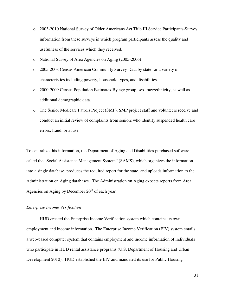- o 2003-2010 National Survey of Older Americans Act Title III Service Participants-Survey information from these surveys in which program participants assess the quality and usefulness of the services which they received.
- o National Survey of Area Agencies on Aging (2005-2006)
- o 2005-2008 Census American Community Survey-Data by state for a variety of characteristics including poverty, household types, and disabilities.
- o 2000-2009 Census Population Estimates-By age group, sex, race/ethnicity, as well as additional demographic data.
- o The Senior Medicare Patrols Project (SMP). SMP project staff and volunteers receive and conduct an initial review of complaints from seniors who identify suspended health care errors, fraud, or abuse.

To centralize this information, the Department of Aging and Disabilities purchased software called the "Social Assistance Management System" (SAMS), which organizes the information into a single database, produces the required report for the state, and uploads information to the Administration on Aging databases. The Administration on Aging expects reports from Area Agencies on Aging by December  $20<sup>th</sup>$  of each year.

# *Enterprise Income Verification*

 HUD created the Enterprise Income Verification system which contains its own employment and income information. The Enterprise Income Verification (EIV) system entails a web-based computer system that contains employment and income information of individuals who participate in HUD rental assistance programs (U.S. Department of Housing and Urban Development 2010). HUD established the EIV and mandated its use for Public Housing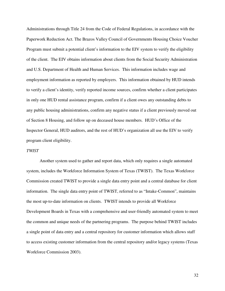Administrations through Title 24 from the Code of Federal Regulations, in accordance with the Paperwork Reduction Act. The Brazos Valley Council of Governments Housing Choice Voucher Program must submit a potential client's information to the EIV system to verify the eligibility of the client. The EIV obtains information about clients from the Social Security Administration and U.S. Department of Health and Human Services. This information includes wage and employment information as reported by employers. This information obtained by HUD intends to verify a client's identity, verify reported income sources, confirm whether a client participates in only one HUD rental assistance program, confirm if a client owes any outstanding debts to any public housing administrations, confirm any negative status if a client previously moved out of Section 8 Housing, and follow up on deceased house members. HUD's Office of the Inspector General, HUD auditors, and the rest of HUD's organization all use the EIV to verify program client eligibility.

# *TWIST*

 Another system used to gather and report data, which only requires a single automated system, includes the Workforce Information System of Texas (TWIST). The Texas Workforce Commission created TWIST to provide a single data entry point and a central database for client information. The single data entry point of TWIST, referred to as "Intake-Common", maintains the most up-to-date information on clients. TWIST intends to provide all Workforce Development Boards in Texas with a comprehensive and user-friendly automated system to meet the common and unique needs of the partnering programs. The purpose behind TWIST includes a single point of data entry and a central repository for customer information which allows staff to access existing customer information from the central repository and/or legacy systems (Texas Workforce Commission 2003).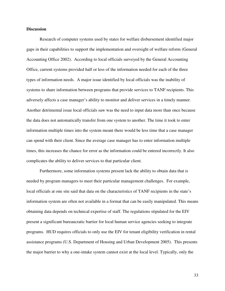# **Discussion**

Research of computer systems used by states for welfare disbursement identified major gaps in their capabilities to support the implementation and oversight of welfare reform (General Accounting Office 2002). According to local officials surveyed by the General Accounting Office, current systems provided half or less of the information needed for each of the three types of information needs. A major issue identified by local officials was the inability of systems to share information between programs that provide services to TANF recipients. This adversely affects a case manager's ability to monitor and deliver services in a timely manner. Another detrimental issue local officials saw was the need to input data more than once because the data does not automatically transfer from one system to another. The time it took to enter information multiple times into the system meant there would be less time that a case manager can spend with their client. Since the average case manager has to enter information multiple times, this increases the chance for error as the information could be entered incorrectly. It also complicates the ability to deliver services to that particular client.

Furthermore, some information systems present lack the ability to obtain data that is needed by program managers to meet their particular management challenges. For example, local officials at one site said that data on the characteristics of TANF recipients in the state's information system are often not available in a format that can be easily manipulated. This means obtaining data depends on technical expertise of staff. The regulations stipulated for the EIV present a significant bureaucratic barrier for local human service agencies seeking to integrate programs. HUD requires officials to only use the EIV for tenant eligibility verification in rental assistance programs (U.S. Department of Housing and Urban Development 2005). This presents the major barrier to why a one-intake system cannot exist at the local level. Typically, only the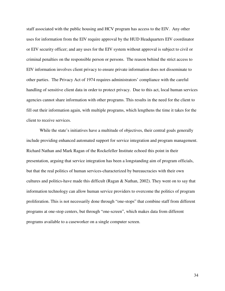staff associated with the public housing and HCV program has access to the EIV. Any other uses for information from the EIV require approval by the HUD Headquarters EIV coordinator or EIV security officer; and any uses for the EIV system without approval is subject to civil or criminal penalties on the responsible person or persons. The reason behind the strict access to EIV information involves client privacy to ensure private information does not disseminate to other parties. The Privacy Act of 1974 requires administrators' compliance with the careful handling of sensitive client data in order to protect privacy. Due to this act, local human services agencies cannot share information with other programs. This results in the need for the client to fill out their information again, with multiple programs, which lengthens the time it takes for the client to receive services.

 While the state's initiatives have a multitude of objectives, their central goals generally include providing enhanced automated support for service integration and program management. Richard Nathan and Mark Ragan of the Rockefeller Institute echoed this point in their presentation, arguing that service integration has been a longstanding aim of program officials, but that the real politics of human services-characterized by bureaucracies with their own cultures and politics-have made this difficult (Ragan & Nathan, 2002). They went on to say that information technology can allow human service providers to overcome the politics of program proliferation. This is not necessarily done through "one-stops" that combine staff from different programs at one-stop centers, but through "one-screen", which makes data from different programs available to a caseworker on a single computer screen.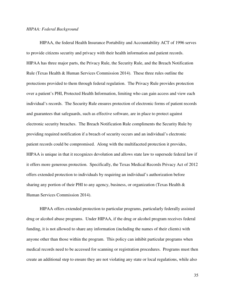#### *HIPAA: Federal Background*

HIPAA, the federal Health Insurance Portability and Accountability ACT of 1996 serves to provide citizens security and privacy with their health information and patient records. HIPAA has three major parts, the Privacy Rule, the Security Rule, and the Breach Notification Rule (Texas Health & Human Services Commission 2014). These three rules outline the protections provided to them through federal regulation. The Privacy Rule provides protection over a patient's PHI, Protected Health Information, limiting who can gain access and view each individual's records. The Security Rule ensures protection of electronic forms of patient records and guarantees that safeguards, such as effective software, are in place to protect against electronic security breaches. The Breach Notification Rule compliments the Security Rule by providing required notification if a breach of security occurs and an individual's electronic patient records could be compromised. Along with the multifaceted protection it provides, HIPAA is unique in that it recognizes devolution and allows state law to supersede federal law if it offers more generous protection. Specifically, the Texas Medical Records Privacy Act of 2012 offers extended protection to individuals by requiring an individual's authorization before sharing any portion of their PHI to any agency, business, or organization (Texas Health & Human Services Commission 2014).

HIPAA offers extended protection to particular programs, particularly federally assisted drug or alcohol abuse programs. Under HIPAA, if the drug or alcohol program receives federal funding, it is not allowed to share any information (including the names of their clients) with anyone other than those within the program. This policy can inhibit particular programs when medical records need to be accessed for scanning or registration procedures. Programs must then create an additional step to ensure they are not violating any state or local regulations, while also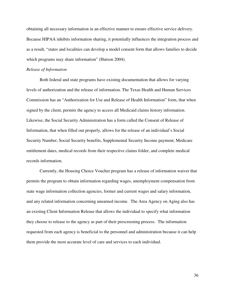obtaining all necessary information in an effective manner to ensure effective service delivery. Because HIPAA inhibits information sharing, it potentially influences the integration process and as a result, "states and localities can develop a model consent form that allows families to decide which programs may share information" (Hutson 2004).

# *Release of Information*

Both federal and state programs have existing documentation that allows for varying levels of authorization and the release of information. The Texas Health and Human Services Commission has an "Authorization for Use and Release of Health Information" form, that when signed by the client, permits the agency to access all Medicaid claims history information. Likewise, the Social Security Administration has a form called the Consent of Release of Information, that when filled out properly, allows for the release of an individual's Social Security Number, Social Security benefits, Supplemental Security Income payment, Medicare entitlement dates, medical records from their respective claims folder, and complete medical records information.

Currently, the Housing Choice Voucher program has a release of information waiver that permits the program to obtain information regarding wages, unemployment compensation from state wage information collection agencies, former and current wages and salary information, and any related information concerning unearned income. The Area Agency on Aging also has an existing Client Information Release that allows the individual to specify what information they choose to release to the agency as part of their prescreening process. The information requested from each agency is beneficial to the personnel and administration because it can help them provide the most accurate level of care and services to each individual.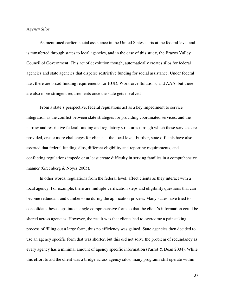#### A*gency Silos*

As mentioned earlier, social assistance in the United States starts at the federal level and is transferred through states to local agencies, and in the case of this study, the Brazos Valley Council of Government. This act of devolution though, automatically creates silos for federal agencies and state agencies that disperse restrictive funding for social assistance. Under federal law, there are broad funding requirements for HUD, Workforce Solutions, and AAA, but there are also more stringent requirements once the state gets involved.

From a state's perspective, federal regulations act as a key impediment to service integration as the conflict between state strategies for providing coordinated services, and the narrow and restrictive federal funding and regulatory structures through which these services are provided, create more challenges for clients at the local level. Further, state officials have also asserted that federal funding silos, different eligibility and reporting requirements, and conflicting regulations impede or at least create difficulty in serving families in a comprehensive manner (Greenberg & Noyes 2005).

In other words, regulations from the federal level, affect clients as they interact with a local agency. For example, there are multiple verification steps and eligibility questions that can become redundant and cumbersome during the application process. Many states have tried to consolidate these steps into a single comprehensive form so that the client's information could be shared across agencies. However, the result was that clients had to overcome a painstaking process of filling out a large form, thus no efficiency was gained. State agencies then decided to use an agency specific form that was shorter, but this did not solve the problem of redundancy as every agency has a minimal amount of agency specific information (Parrot & Dean 2004). While this effort to aid the client was a bridge across agency silos, many programs still operate within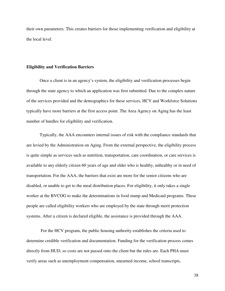their own parameters. This creates barriers for those implementing verification and eligibility at the local level.

#### **Eligibility and Verification Barriers**

Once a client is in an agency's system, the eligibility and verification processes begin through the state agency to which an application was first submitted. Due to the complex nature of the services provided and the demographics for these services, HCV and Workforce Solutions typically have more barriers at the first access point. The Area Agency on Aging has the least number of hurdles for eligibility and verification.

Typically, the AAA encounters internal issues of risk with the compliance standards that are levied by the Administration on Aging. From the external perspective, the eligibility process is quite simple as services such as nutrition, transportation, care coordination, or care services is available to any elderly citizen 60 years of age and older who is healthy, unhealthy or in need of transportation. For the AAA, the barriers that exist are more for the senior citizens who are disabled, or unable to get to the meal distribution places. For eligibility, it only takes a single worker at the BVCOG to make the determinations in food stamp and Medicaid programs. These people are called eligibility workers who are employed by the state through merit protection systems. After a citizen is declared eligible, the assistance is provided through the AAA.

 For the HCV program, the public housing authority establishes the criteria used to determine credible verification and documentation. Funding for the verification process comes directly from HUD, so costs are not passed onto the client but the rules are. Each PHA must verify areas such as unemployment compensation, unearned income, school transcripts,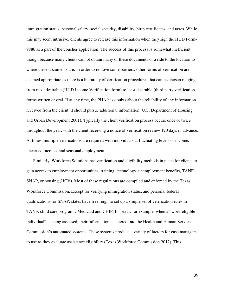immigration status, personal salary, social security, disability, birth certificates, and taxes. While this may seem intrusive, clients agree to release this information when they sign the HUD Form-9886 as a part of the voucher application. The success of this process is somewhat inefficient though because many clients cannot obtain many of these documents or a ride to the location to where these documents are. In order to remove some barriers, other forms of verification are deemed appropriate as there is a hierarchy of verification procedures that can be chosen ranging from most desirable (HUD Income Verification form) to least desirable (third party verification forms written or oral. If at any time, the PHA has doubts about the reliability of any information received from the client, it should pursue additional information (U.S. Department of Housing and Urban Development 2001). Typically the client verification process occurs once or twice throughout the year, with the client receiving a notice of verification review 120 days in advance. At times, multiple verifications are required with individuals at fluctuating levels of income, unearned income, and seasonal employment.

Similarly, Workforce Solutions has verification and eligibility methods in place for clients to gain access to employment opportunities, training, technology, unemployment benefits, TANF, SNAP, or housing (HCV). Most of these regulations are compiled and enforced by the Texas Workforce Commission. Except for verifying immigration status, and personal federal qualifications for SNAP, states have free reign to set up a simple set of verification rules in TANF, child care programs, Medicaid and CHIP. In Texas, for example, when a "work-eligible individual" is being assessed, their information is entered into the Health and Human Service Commission's automated systems. These systems produce a variety of factors for case managers to use as they evaluate assistance eligibility (Texas Workforce Commission 2012). This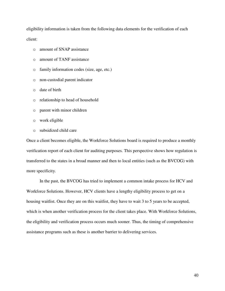eligibility information is taken from the following data elements for the verification of each client:

- o amount of SNAP assistance
- o amount of TANF assistance
- o family information codes (size, age, etc.)
- o non-custodial parent indicator
- o date of birth
- o relationship to head of household
- o parent with minor children
- o work eligible
- o subsidized child care

Once a client becomes eligible, the Workforce Solutions board is required to produce a monthly verification report of each client for auditing purposes. This perspective shows how regulation is transferred to the states in a broad manner and then to local entities (such as the BVCOG) with more specificity.

In the past, the BVCOG has tried to implement a common intake process for HCV and Workforce Solutions. However, HCV clients have a lengthy eligibility process to get on a housing waitlist. Once they are on this waitlist, they have to wait 3 to 5 years to be accepted, which is when another verification process for the client takes place. With Workforce Solutions, the eligibility and verification process occurs much sooner. Thus, the timing of comprehensive assistance programs such as these is another barrier to delivering services.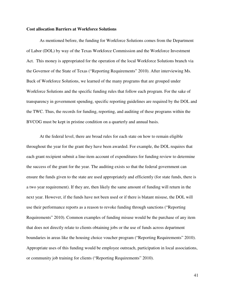#### **Cost allocation Barriers at Workforce Solutions**

 As mentioned before, the funding for Workforce Solutions comes from the Department of Labor (DOL) by way of the Texas Workforce Commission and the Workforce Investment Act. This money is appropriated for the operation of the local Workforce Solutions branch via the Governor of the State of Texas ("Reporting Requirements" 2010). After interviewing Ms. Buck of Workforce Solutions, we learned of the many programs that are grouped under Workforce Solutions and the specific funding rules that follow each program. For the sake of transparency in government spending, specific reporting guidelines are required by the DOL and the TWC. Thus, the records for funding, reporting, and auditing of these programs within the BVCOG must be kept in pristine condition on a quarterly and annual basis.

At the federal level, there are broad rules for each state on how to remain eligible throughout the year for the grant they have been awarded. For example, the DOL requires that each grant recipient submit a line-item account of expenditures for funding review to determine the success of the grant for the year. The auditing exists so that the federal government can ensure the funds given to the state are used appropriately and efficiently (for state funds, there is a two year requirement). If they are, then likely the same amount of funding will return in the next year. However, if the funds have not been used or if there is blatant misuse, the DOL will use their performance reports as a reason to revoke funding through sanctions ("Reporting Requirements" 2010). Common examples of funding misuse would be the purchase of any item that does not directly relate to clients obtaining jobs or the use of funds across department boundaries in areas like the housing choice voucher program ("Reporting Requirements" 2010). Appropriate uses of this funding would be employee outreach, participation in local associations, or community job training for clients ("Reporting Requirements" 2010).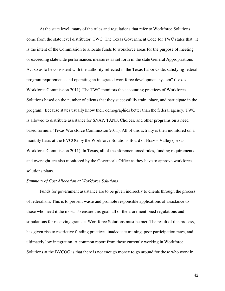At the state level, many of the rules and regulations that refer to Workforce Solutions come from the state level distributor, TWC. The Texas Government Code for TWC states that "it is the intent of the Commission to allocate funds to workforce areas for the purpose of meeting or exceeding statewide performances measures as set forth in the state General Appropriations Act so as to be consistent with the authority reflected in the Texas Labor Code, satisfying federal program requirements and operating an integrated workforce development system" (Texas Workforce Commission 2011). The TWC monitors the accounting practices of Workforce Solutions based on the number of clients that they successfully train, place, and participate in the program. Because states usually know their demographics better than the federal agency, TWC is allowed to distribute assistance for SNAP, TANF, Choices, and other programs on a need based formula (Texas Workforce Commission 2011). All of this activity is then monitored on a monthly basis at the BVCOG by the Workforce Solutions Board of Brazos Valley (Texas Workforce Commission 2011). In Texas, all of the aforementioned rules, funding requirements and oversight are also monitored by the Governor's Office as they have to approve workforce solutions plans.

#### *Summary of Cost Allocation at Workforce Solutions*

Funds for government assistance are to be given indirectly to clients through the process of federalism. This is to prevent waste and promote responsible applications of assistance to those who need it the most. To ensure this goal, all of the aforementioned regulations and stipulations for receiving grants at Workforce Solutions must be met. The result of this process, has given rise to restrictive funding practices, inadequate training, poor participation rates, and ultimately low integration. A common report from those currently working in Workforce Solutions at the BVCOG is that there is not enough money to go around for those who work in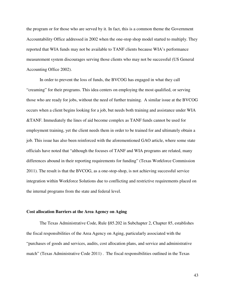the program or for those who are served by it. In fact, this is a common theme the Government Accountability Office addressed in 2002 when the one-stop shop model started to multiply. They reported that WIA funds may not be available to TANF clients because WIA's performance measurement system discourages serving those clients who may not be successful (US General Accounting Office 2002).

In order to prevent the loss of funds, the BVCOG has engaged in what they call "creaming" for their programs. This idea centers on employing the most qualified, or serving those who are ready for jobs, without the need of further training. A similar issue at the BVCOG occurs when a client begins looking for a job, but needs both training and assistance under WIA &TANF. Immediately the lines of aid become complex as TANF funds cannot be used for employment training, yet the client needs them in order to be trained for and ultimately obtain a job. This issue has also been reinforced with the aforementioned GAO article, where some state officials have noted that "although the focuses of TANF and WIA programs are related, many differences abound in their reporting requirements for funding" (Texas Workforce Commission 2011). The result is that the BVCOG, as a one-stop-shop, is not achieving successful service integration within Workforce Solutions due to conflicting and restrictive requirements placed on the internal programs from the state and federal level.

#### **Cost allocation Barriers at the Area Agency on Aging**

 The Texas Administrative Code, Rule §85.202 in Subchapter 2, Chapter 85, establishes the fiscal responsibilities of the Area Agency on Aging, particularly associated with the "purchases of goods and services, audits, cost allocation plans, and service and administrative match" (Texas Administrative Code 2011) . The fiscal responsibilities outlined in the Texas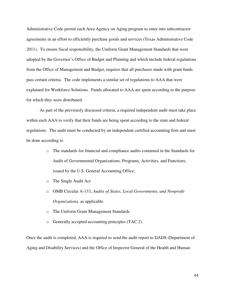Administrative Code permit each Area Agency on Aging program to enter into subcontractor agreements in an effort to efficiently purchase goods and services (Texas Administrative Code 2011). To ensure fiscal responsibility, the Uniform Grant Management Standards that were adopted by the Governor's Office of Budget and Planning and which include federal regulations from the Office of Management and Budget, requires that all purchases made with grant funds pass certain criteria. The code implements a similar set of regulations to AAA that were explained for Workforce Solutions. Funds allocated to AAA are spent according to the purpose for which they were distributed.

 As part of the previously discussed criteria, a required independent audit must take place within each AAA to verify that their funds are being spent according to the state and federal regulations. The audit must be conducted by an independent certified accounting firm and must be done according to

- o The standards for financial and compliance audits contained in the Standards for Audit of Governmental Organizations, Programs, Activities, and Functions, issued by the U.S. General Accounting Office;
- o The Single Audit Act
- o OMB Circular A-133, *Audits of States, Local Governments, and Nonprofit Organizations,* as applicable
- o The Uniform Grant Management Standards
- o Generally accepted accounting principles (TAC 2).

Once the audit is completed, AAA is required to send the audit report to DADS (Department of Aging and Disability Services) and the Office of Inspector General of the Health and Human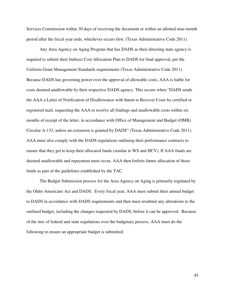Services Commission within 30 days of receiving the document or within an allotted nine-month period after the fiscal year ends, whichever occurs first. (Texas Administrative Code 2011).

 Any Area Agency on Aging Program that has DADS as their directing state agency is required to submit their Indirect Cost Allocation Plan to DADS for final approval, per the Uniform Grant Management Standards requirements (Texas Administrative Code 2011). Because DADS has governing power over the approval of allowable costs, AAA is liable for costs deemed unallowable by their respective DADS agency. This occurs when "DADS sends the AAA a Letter of Notification of Disallowance with Intent to Recover Costs by certified or registered mail, requesting the AAA to resolve all findings and unallowable costs within six months of receipt of the letter, in accordance with Office of Management and Budget (OMB) Circular A-133, unless an extension is granted by DADS" (Texas Administrative Code 2011). AAA must also comply with the DADS regulations outlining their performance contracts to ensure that they get to keep their allocated funds (similar to WS and HCV). If AAA funds are deemed unallowable and repayment must occur, AAA then forfeits future allocation of those funds as part of the guidelines established by the TAC.

 The Budget Submission process for the Area Agency on Aging is primarily regulated by the Older Americans Act and DADS. Every fiscal year, AAA must submit their annual budget to DADS in accordance with DADS requirements and then must resubmit any alterations to the outlined budget, including the changes requested by DADS, before it can be approved. Because of the mix of federal and state regulations over the budgetary process, AAA must do the following to ensure an appropriate budget is submitted: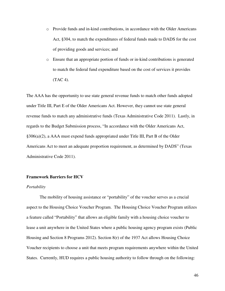- o Provide funds and in-kind contributions, in accordance with the Older Americans Act, §304, to match the expenditures of federal funds made to DADS for the cost of providing goods and services; and
- o Ensure that an appropriate portion of funds or in-kind contributions is generated to match the federal fund expenditure based on the cost of services it provides (TAC 4).

The AAA has the opportunity to use state general revenue funds to match other funds adopted under Title III, Part E of the Older Americans Act. However, they cannot use state general revenue funds to match any administrative funds (Texas Administrative Code 2011). Lastly, in regards to the Budget Submission process, "In accordance with the Older Americans Act, §306(a)(2), a AAA must expend funds appropriated under Title III, Part B of the Older Americans Act to meet an adequate proportion requirement, as determined by DADS" (Texas Administrative Code 2011).

## **Framework Barriers for HCV**

#### *Portability*

 The mobility of housing assistance or "portability" of the voucher serves as a crucial aspect to the Housing Choice Voucher Program. The Housing Choice Voucher Program utilizes a feature called "Portability" that allows an eligible family with a housing choice voucher to lease a unit anywhere in the United States where a public housing agency program exists (Public Housing and Section 8 Programs 2012). Section 8(r) of the 1937 Act allows Housing Choice Voucher recipients to choose a unit that meets program requirements anywhere within the United States. Currently, HUD requires a public housing authority to follow through on the following: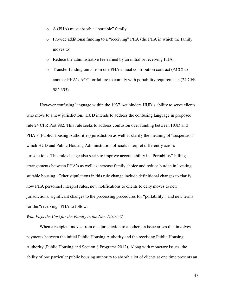- o A (PHA) must absorb a "portable" family
- o Provide additional funding to a "receiving" PHA (the PHA in which the family moves to)
- o Reduce the administrative fee earned by an initial or receiving PHA
- o Transfer funding units from one PHA annual contribution contract (ACC) to another PHA's ACC for failure to comply with portability requirements (24 CFR 982.355)

However confusing language within the 1937 Act hinders HUD's ability to serve clients who move to a new jurisdiction. HUD intends to address the confusing language in proposed rule 24 CFR Part 982. This rule seeks to address confusion over funding between HUD and PHA's (Public Housing Authorities) jurisdiction as well as clarify the meaning of "suspension" which HUD and Public Housing Administration officials interpret differently across jurisdictions. This rule change also seeks to improve accountability in "Portability" billing arrangements between PHA's as well as increase family choice and reduce burden in locating suitable housing. Other stipulations in this rule change include definitional changes to clarify how PHA personnel interpret rules, new notifications to clients to deny moves to new jurisdictions, significant changes to the processing procedures for "portability", and new terms for the "receiving" PHA to follow.

# *Who Pays the Cost for the Family in the New District?*

When a recipient moves from one jurisdiction to another, an issue arises that involves payments between the initial Public Housing Authority and the receiving Public Housing Authority (Public Housing and Section 8 Programs 2012). Along with monetary issues, the ability of one particular public housing authority to absorb a lot of clients at one time presents an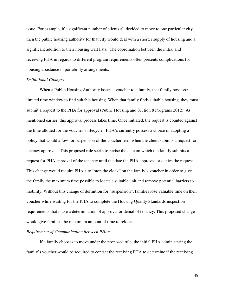issue. For example, if a significant number of clients all decided to move to one particular city, then the public housing authority for that city would deal with a shorter supply of housing and a significant addition to their housing wait lists. The coordination between the initial and receiving PHA in regards to different program requirements often presents complications for housing assistance in portability arrangements.

# *Definitional Changes*

When a Public Housing Authority issues a voucher to a family, that family possesses a limited time window to find suitable housing. When that family finds suitable housing, they must submit a request to the PHA for approval (Public Housing and Section 8 Programs 2012). As mentioned earlier, this approval process takes time. Once initiated, the request is counted against the time allotted for the voucher's lifecycle. PHA's currently possess a choice in adopting a policy that would allow for suspension of the voucher term when the client submits a request for tenancy approval. This proposed rule seeks to revise the date on which the family submits a request for PHA approval of the tenancy until the date the PHA approves or denies the request. This change would require PHA's to "stop the clock" on the family's voucher in order to give the family the maximum time possible to locate a suitable unit and remove potential barriers to mobility. Without this change of definition for "suspension", families lose valuable time on their voucher while waiting for the PHA to complete the Housing Quality Standards inspection requirements that make a determination of approval or denial of tenancy. This proposed change would give families the maximum amount of time to relocate.

#### *Requirement of Communication between PHAs*

 If a family chooses to move under the proposed rule, the initial PHA administering the family's voucher would be required to contact the receiving PHA to determine if the receiving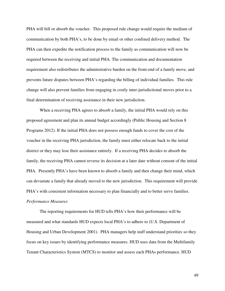PHA will bill or absorb the voucher. This proposed rule change would require the medium of communication by both PHA's, to be done by email or other confined delivery method. The PHA can then expedite the notification process to the family as communication will now be required between the receiving and initial PHA. The communication and documentation requirement also redistributes the administrative burden on the front-end of a family move, and prevents future disputes between PHA's regarding the billing of individual families. This rule change will also prevent families from engaging in costly inter-jurisdictional moves prior to a final determination of receiving assistance in their new jurisdiction.

 When a receiving PHA agrees to absorb a family, the initial PHA would rely on this proposed agreement and plan its annual budget accordingly (Public Housing and Section 8 Programs 2012). If the initial PHA does not possess enough funds to cover the cost of the voucher in the receiving PHA jurisdiction, the family must either relocate back to the initial district or they may lose their assistance entirely. If a receiving PHA decides to absorb the family, the receiving PHA cannot reverse its decision at a later date without consent of the initial PHA. Presently PHA's have been known to absorb a family and then change their mind, which can devastate a family that already moved to the new jurisdiction. This requirement will provide PHA's with consistent information necessary to plan financially and to better serve families. *Performance Measures* 

 The reporting requirements for HUD tells PHA's how their performance will be measured and what standards HUD expects local PHA's to adhere to (U.S. Department of Housing and Urban Development 2001). PHA managers help staff understand priorities so they focus on key issues by identifying performance measures. HUD uses data from the Multifamily Tenant Characteristics System (MTCS) to monitor and assess each PHAs performance. HUD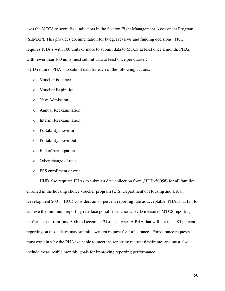uses the MTCS to score five indicators in the Section Eight Management Assessment Program (SEMAP). This provides documentation for budget reviews and funding decisions. HUD requires PHA's with 100 units or more to submit data to MTCS at least once a month, PHAs with fewer than 100 units must submit data at least once per quarter.

HUD requires PHA's to submit data for each of the following actions:

- o Voucher issuance
- o Voucher Expiration
- o New Admission
- o Annual Reexamination
- o Interim Reexamination
- o Portability move-in
- o Portability move-out
- o End of participation
- o Other change of unit
- o FSS enrollment or exit

 HUD also requires PHAs to submit a data collection form (HUD-50058) for all families enrolled in the housing choice voucher program (U.S. Department of Housing and Urban Development 2001). HUD considers an 85 percent reporting rate as acceptable. PHAs that fail to achieve the minimum reporting rate face possible sanctions. HUD measures MTCS reporting performances from June 30th to December 31st each year. A PHA that will not meet 85 percent reporting on those dates may submit a written request for forbearance. Forbearance requests must explain why the PHA is unable to meet the reporting request timeframe, and must also include measureable monthly goals for improving reporting performance.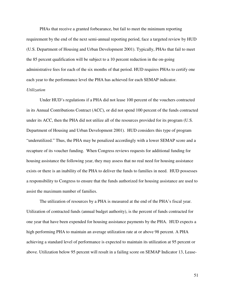PHAs that receive a granted forbearance, but fail to meet the minimum reporting requirement by the end of the next semi-annual reporting period, face a targeted review by HUD (U.S. Department of Housing and Urban Development 2001). Typically, PHAs that fail to meet the 85 percent qualification will be subject to a 10 percent reduction in the on-going administrative fees for each of the six months of that period. HUD requires PHAs to certify one each year to the performance level the PHA has achieved for each SEMAP indicator.

# *Utilization*

 Under HUD's regulations if a PHA did not lease 100 percent of the vouchers contracted in its Annual Contributions Contract (ACC), or did not spend 100 percent of the funds contracted under its ACC, then the PHA did not utilize all of the resources provided for its program (U.S. Department of Housing and Urban Development 2001). HUD considers this type of program "underutilized." Thus, the PHA may be penalized accordingly with a lower SEMAP score and a recapture of its voucher funding. When Congress reviews requests for additional funding for housing assistance the following year, they may assess that no real need for housing assistance exists or there is an inability of the PHA to deliver the funds to families in need. HUD possesses a responsibility to Congress to ensure that the funds authorized for housing assistance are used to assist the maximum number of families.

 The utilization of resources by a PHA is measured at the end of the PHA's fiscal year. Utilization of contracted funds (annual budget authority), is the percent of funds contracted for one year that have been expended for housing assistance payments by the PHA. HUD expects a high performing PHA to maintain an average utilization rate at or above 98 percent. A PHA achieving a standard level of performance is expected to maintain its utilization at 95 percent or above. Utilization below 95 percent will result in a failing score on SEMAP Indicator 13, Lease-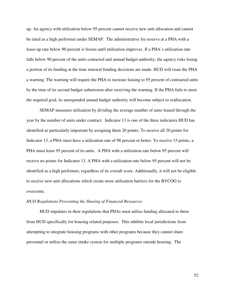up. An agency with utilization below 95 percent cannot receive new unit allocation and cannot be rated as a high performer under SEMAP. The administrative fee reserve at a PHA with a lease-up rate below 90 percent is frozen until utilization improves. If a PHA's utilization rate falls below 90 percent of the units contacted and annual budget authority, the agency risks losing a portion of its funding at the time renewal funding decisions are made. HUD will issue the PHA a warning. The warning will require the PHA to increase leasing to 95 percent of contracted units by the time of its second budget submission after receiving the warning. If the PHA fails to meet the required goal, its unexpended annual budget authority will become subject to reallocation.

 SEMAP measures utilization by dividing the average number of units leased through the year by the number of units under contract. Indicator 13 is one of the three indicators HUD has identified as particularly important by assigning them 20 points. To receive all 20 points for Indicator 13, a PHA must have a utilization rate of 98 percent or better. To receive 15 points, a PHA must lease 95 percent of its units. A PHA with a utilization rate below 95 percent will receive no points for Indicator 13. A PHA with a utilization rate below 95 percent will not be identified as a high performer, regardless of its overall score. Additionally, it will not be eligible to receive new unit allocations which create more utilization barriers for the BVCOG to overcome.

#### *HUD Regulations Preventing the Sharing of Financial Resources*

HUD stipulates in their regulations that PHAs must utilize funding allocated to them from HUD specifically for housing related purposes. This inhibits local jurisdictions from attempting to integrate housing programs with other programs because they cannot share personnel or utilize the same intake system for multiple programs outside housing. The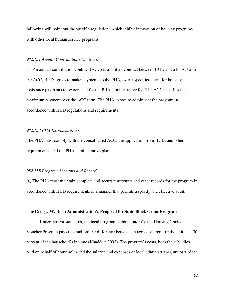following will point out the specific regulations which inhibit integration of housing programs with other local human service programs:

# *982.151 Annual Contributions Contract.*

(1) An annual contribution contract (ACC) is a written contract between HUD and a PHA. Under the ACC, HUD agrees to make payments to the PHA, over a specified term, for housing assistance payments to owners and for the PHA administrative fee. The ACC specifies the maximum payment over the ACC term. The PHA agrees to administer the program in accordance with HUD regulations and requirements.

# *982.153 PHA Responsibilities.*

The PHA must comply with the consolidated ACC, the application from HUD, and other requirements, and the PHA administrative plan.

#### *982.158 Program Accounts and Record*

(a) The PHA must maintain complete and accurate accounts and other records for the program in accordance with HUD requirements in a manner that permits a speedy and effective audit.

#### **The George W. Bush Administration's Proposal for State Block Grant Programs**

 Under current standards, the local program administrator for the Housing Choice Voucher Program pays the landlord the difference between an agreed-on rent for the unit, and 30 percent of the household's income (Khadduri 2003). The program's costs, both the subsidies paid on behalf of households and the salaries and expenses of local administrators, are part of the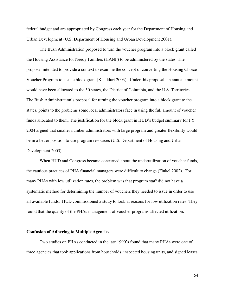federal budget and are appropriated by Congress each year for the Department of Housing and Urban Development (U.S. Department of Housing and Urban Development 2001).

 The Bush Administration proposed to turn the voucher program into a block grant called the Housing Assistance for Needy Families (HANF) to be administered by the states. The proposal intended to provide a context to examine the concept of converting the Housing Choice Voucher Program to a state block grant (Khadduri 2003). Under this proposal, an annual amount would have been allocated to the 50 states, the District of Columbia, and the U.S. Territories. The Bush Administration's proposal for turning the voucher program into a block grant to the states, points to the problems some local administrators face in using the full amount of voucher funds allocated to them. The justification for the block grant in HUD's budget summary for FY 2004 argued that smaller number administrators with large program and greater flexibility would be in a better position to use program resources (U.S. Department of Housing and Urban Development 2003).

 When HUD and Congress became concerned about the underutilization of voucher funds, the cautious practices of PHA financial managers were difficult to change (Finkel 2002). For many PHAs with low utilization rates, the problem was that program staff did not have a systematic method for determining the number of vouchers they needed to issue in order to use all available funds. HUD commissioned a study to look at reasons for low utilization rates. They found that the quality of the PHAs management of voucher programs affected utilization.

#### **Confusion of Adhering to Multiple Agencies**

 Two studies on PHAs conducted in the late 1990's found that many PHAs were one of three agencies that took applications from households, inspected housing units, and signed leases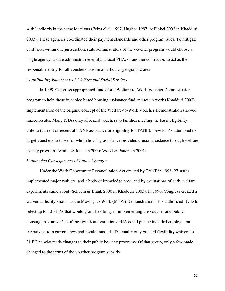with landlords in the same locations (Feins el al. 1997, Hughes 1997, & Finkel 2002 in Khadduri 2003). These agencies coordinated their payment standards and other program rules. To mitigate confusion within one jurisdiction, state administrators of the voucher program would choose a single agency, a state administrative entity, a local PHA, or another contractor, to act as the responsible entity for all vouchers used in a particular geographic area.

## *Coordinating Vouchers with Welfare and Social Services*

 In 1999, Congress appropriated funds for a Welfare-to-Work Voucher Demonstration program to help those in choice based housing assistance find and retain work (Khadduri 2003). Implementation of the original concept of the Welfare-to-Work Voucher Demonstration showed mixed results. Many PHAs only allocated vouchers to families meeting the basic eligibility criteria (current or recent of TANF assistance or eligibility for TANF). Few PHAs attempted to target vouchers to those for whom housing assistance provided crucial assistance through welfare agency programs (Smith & Johnson 2000; Wood & Patterson 2001).

# *Unintended Consequences of Policy Changes*

 Under the Work Opportunity Reconciliation Act created by TANF in 1996, 27 states implemented major waivers, and a body of knowledge produced by evaluations of early welfare experiments came about (Schoeni & Blank 2000 in Khadduri 2003). In 1996, Congress created a waiver authority known as the Moving-to-Work (MTW) Demonstration. This authorized HUD to select up to 30 PHAs that would grant flexibility in implementing the voucher and public housing programs. One of the significant variations PHA could pursue included employment incentives from current laws and regulations. HUD actually only granted flexibility waivers to 21 PHAs who made changes to their public housing programs. Of that group, only a few made changed to the terms of the voucher program subsidy.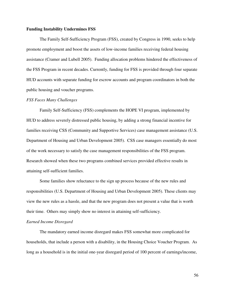## **Funding Instability Undermines FSS**

 The Family Self-Sufficiency Program (FSS), created by Congress in 1990, seeks to help promote employment and boost the assets of low-income families receiving federal housing assistance (Cramer and Lubell 2005). Funding allocation problems hindered the effectiveness of the FSS Program in recent decades. Currently, funding for FSS is provided through four separate HUD accounts with separate funding for escrow accounts and program coordinators in both the public housing and voucher programs.

## *FSS Faces Many Challenges*

 Family Self-Sufficiency (FSS) complements the HOPE VI program, implemented by HUD to address severely distressed public housing, by adding a strong financial incentive for families receiving CSS (Community and Supportive Services) case management assistance (U.S. Department of Housing and Urban Development 2005). CSS case managers essentially do most of the work necessary to satisfy the case management responsibilities of the FSS program. Research showed when these two programs combined services provided effective results in attaining self-sufficient families.

 Some families show reluctance to the sign up process because of the new rules and responsibilities (U.S. Department of Housing and Urban Development 2005). These clients may view the new rules as a hassle, and that the new program does not present a value that is worth their time. Others may simply show no interest in attaining self-sufficiency.

## *Earned Income Disregard*

 The mandatory earned income disregard makes FSS somewhat more complicated for households, that include a person with a disability, in the Housing Choice Voucher Program. As long as a household is in the initial one-year disregard period of 100 percent of earnings/income,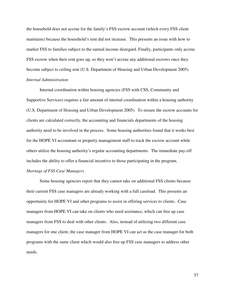the household does not accrue for the family's FSS escrow account (which every FSS client maintains) because the household's rent did not increase. This presents an issue with how to market FSS to families subject to the earned income disregard. Finally, participants only accrue FSS escrow when their rent goes up, so they won't accrue any additional escrows once they become subject to ceiling rent (U.S. Department of Housing and Urban Development 2005). *Internal Administration* 

 Internal coordination within housing agencies (FSS with CSS, Community and Supportive Services) requires a fair amount of internal coordination within a housing authority (U.S. Department of Housing and Urban Development 2005). To ensure the escrow accounts for clients are calculated correctly, the accounting and financials departments of the housing authority need to be involved in the process. Some housing authorities found that it works best for the HOPE VI accountant or property management staff to track the escrow account while others utilize the housing authority's regular accounting departments. The immediate pay-off includes the ability to offer a financial incentive to those participating in the program.

# *Shortage of FSS Case Managers*

 Some housing agencies report that they cannot take on additional FSS clients because their current FSS case managers are already working with a full caseload. This presents an opportunity for HOPE VI and other programs to assist in offering services to clients. Case managers from HOPE VI can take on clients who need assistance, which can free up case managers from FSS to deal with other clients. Also, instead of utilizing two different case managers for one client, the case manager from HOPE VI can act as the case manager for both programs with the same client which would also free up FSS case managers to address other needs.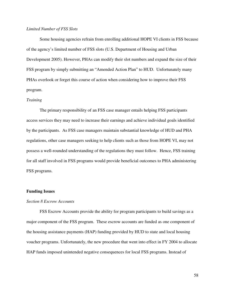# *Limited Number of FSS Slots*

 Some housing agencies refrain from enrolling additional HOPE VI clients in FSS because of the agency's limited number of FSS slots (U.S. Department of Housing and Urban Development 2005). However, PHAs can modify their slot numbers and expand the size of their FSS program by simply submitting an "Amended Action Plan" to HUD. Unfortunately many PHAs overlook or forget this course of action when considering how to improve their FSS program.

## *Training*

 The primary responsibility of an FSS case manager entails helping FSS participants access services they may need to increase their earnings and achieve individual goals identified by the participants. As FSS case managers maintain substantial knowledge of HUD and PHA regulations, other case managers seeking to help clients such as those from HOPE VI, may not possess a well-rounded understanding of the regulations they must follow. Hence, FSS training for all staff involved in FSS programs would provide beneficial outcomes to PHA administering FSS programs.

## **Funding Issues**

#### *Section 8 Escrow Accounts*

 FSS Escrow Accounts provide the ability for program participants to build savings as a major component of the FSS program. These escrow accounts are funded as one component of the housing assistance payments (HAP) funding provided by HUD to state and local housing voucher programs. Unfortunately, the new procedure that went into effect in FY 2004 to allocate HAP funds imposed unintended negative consequences for local FSS programs. Instead of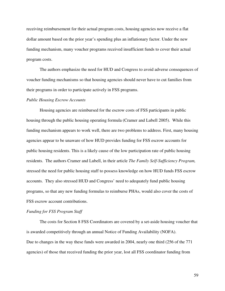receiving reimbursement for their actual program costs, housing agencies now receive a flat dollar amount based on the prior year's spending plus an inflationary factor. Under the new funding mechanism, many voucher programs received insufficient funds to cover their actual program costs.

 The authors emphasize the need for HUD and Congress to avoid adverse consequences of voucher funding mechanisms so that housing agencies should never have to cut families from their programs in order to participate actively in FSS programs.

## *Public Housing Escrow Accounts*

 Housing agencies are reimbursed for the escrow costs of FSS participants in public housing through the public housing operating formula (Cramer and Lubell 2005). While this funding mechanism appears to work well, there are two problems to address. First, many housing agencies appear to be unaware of how HUD provides funding for FSS escrow accounts for public housing residents. This is a likely cause of the low participation rate of public housing residents. The authors Cramer and Lubell, in their article *The Family Self-Sufficiency Program,* stressed the need for public housing staff to possess knowledge on how HUD funds FSS escrow accounts. They also stressed HUD and Congress' need to adequately fund public housing programs, so that any new funding formulas to reimburse PHAs, would also cover the costs of FSS escrow account contributions.

#### *Funding for FSS Program Staff*

The costs for Section 8 FSS Coordinators are covered by a set-aside housing voucher that is awarded competitively through an annual Notice of Funding Availability (NOFA). Due to changes in the way these funds were awarded in 2004, nearly one third (256 of the 771 agencies) of those that received funding the prior year, lost all FSS coordinator funding from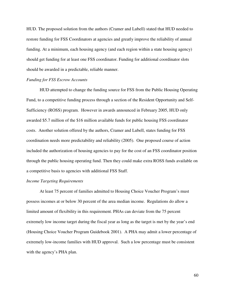HUD. The proposed solution from the authors (Cramer and Lubell) stated that HUD needed to restore funding for FSS Coordinators at agencies and greatly improve the reliability of annual funding. At a minimum, each housing agency (and each region within a state housing agency) should get funding for at least one FSS coordinator. Funding for additional coordinator slots should be awarded in a predictable, reliable manner.

# *Funding for FSS Escrow Accounts*

 HUD attempted to change the funding source for FSS from the Public Housing Operating Fund, to a competitive funding process through a section of the Resident Opportunity and Self-Sufficiency (ROSS) program. However in awards announced in February 2005, HUD only awarded \$5.7 million of the \$16 million available funds for public housing FSS coordinator costs. Another solution offered by the authors, Cramer and Lubell, states funding for FSS coordination needs more predictability and reliability (2005). One proposed course of action included the authorization of housing agencies to pay for the cost of an FSS coordinator position through the public housing operating fund. Then they could make extra ROSS funds available on a competitive basis to agencies with additional FSS Staff.

#### *Income Targeting Requirements*

 At least 75 percent of families admitted to Housing Choice Voucher Program's must possess incomes at or below 30 percent of the area median income. Regulations do allow a limited amount of flexibility in this requirement. PHAs can deviate from the 75 percent extremely low income target during the fiscal year as long as the target is met by the year's end (Housing Choice Voucher Program Guidebook 2001). A PHA may admit a lower percentage of extremely low-income families with HUD approval. Such a low percentage must be consistent with the agency's PHA plan.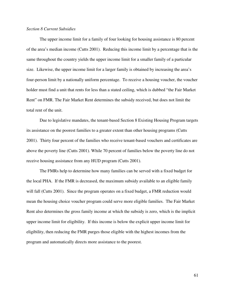# *Section 8 Current Subsidies*

 The upper income limit for a family of four looking for housing assistance is 80 percent of the area's median income (Cutts 2001). Reducing this income limit by a percentage that is the same throughout the country yields the upper income limit for a smaller family of a particular size. Likewise, the upper income limit for a larger family is obtained by increasing the area's four-person limit by a nationally uniform percentage. To receive a housing voucher, the voucher holder must find a unit that rents for less than a stated ceiling, which is dubbed "the Fair Market Rent" on FMR. The Fair Market Rent determines the subsidy received, but does not limit the total rent of the unit.

 Due to legislative mandates, the tenant-based Section 8 Existing Housing Program targets its assistance on the poorest families to a greater extent than other housing programs (Cutts 2001). Thirty four percent of the families who receive tenant-based vouchers and certificates are above the poverty line (Cutts 2001). While 70 percent of families below the poverty line do not receive housing assistance from any HUD program (Cutts 2001).

 The FMRs help to determine how many families can be served with a fixed budget for the local PHA. If the FMR is decreased, the maximum subsidy available to an eligible family will fall (Cutts 2001). Since the program operates on a fixed budget, a FMR reduction would mean the housing choice voucher program could serve more eligible families. The Fair Market Rent also determines the gross family income at which the subsidy is zero, which is the implicit upper income limit for eligibility. If this income is below the explicit upper income limit for eligibility, then reducing the FMR purges those eligible with the highest incomes from the program and automatically directs more assistance to the poorest.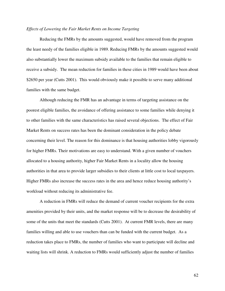#### *Effects of Lowering the Fair Market Rents on Income Targeting*

 Reducing the FMRs by the amounts suggested, would have removed from the program the least needy of the families eligible in 1989. Reducing FMRs by the amounts suggested would also substantially lower the maximum subsidy available to the families that remain eligible to receive a subsidy. The mean reduction for families in these cities in 1989 would have been about \$2650 per year (Cutts 2001). This would obviously make it possible to serve many additional families with the same budget.

 Although reducing the FMR has an advantage in terms of targeting assistance on the poorest eligible families, the avoidance of offering assistance to some families while denying it to other families with the same characteristics has raised several objections. The effect of Fair Market Rents on success rates has been the dominant consideration in the policy debate concerning their level. The reason for this dominance is that housing authorities lobby vigorously for higher FMRs. Their motivations are easy to understand. With a given number of vouchers allocated to a housing authority, higher Fair Market Rents in a locality allow the housing authorities in that area to provide larger subsidies to their clients at little cost to local taxpayers. Higher FMRs also increase the success rates in the area and hence reduce housing authority's workload without reducing its administrative fee.

 A reduction in FMRs will reduce the demand of current voucher recipients for the extra amenities provided by their units, and the market response will be to decrease the desirability of some of the units that meet the standards (Cutts 2001). At current FMR levels, there are many families willing and able to use vouchers than can be funded with the current budget. As a reduction takes place to FMRs, the number of families who want to participate will decline and waiting lists will shrink. A reduction to FMRs would sufficiently adjust the number of families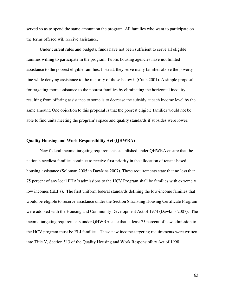served so as to spend the same amount on the program. All families who want to participate on the terms offered will receive assistance.

 Under current rules and budgets, funds have not been sufficient to serve all eligible families willing to participate in the program. Public housing agencies have not limited assistance to the poorest eligible families. Instead, they serve many families above the poverty line while denying assistance to the majority of those below it (Cutts 2001). A simple proposal for targeting more assistance to the poorest families by eliminating the horizontal inequity resulting from offering assistance to some is to decrease the subsidy at each income level by the same amount. One objection to this proposal is that the poorest eligible families would not be able to find units meeting the program's space and quality standards if subsides were lower.

# **Quality Housing and Work Responsibility Act (QHWRA)**

 New federal income-targeting requirements established under QHWRA ensure that the nation's neediest families continue to receive first priority in the allocation of tenant-based housing assistance (Soloman 2005 in Dawkins 2007). These requirements state that no less than 75 percent of any local PHA's admissions to the HCV Program shall be families with extremely low incomes (ELI's). The first uniform federal standards defining the low-income families that would be eligible to receive assistance under the Section 8 Existing Housing Certificate Program were adopted with the Housing and Community Development Act of 1974 (Dawkins 2007). The income-targeting requirements under QHWRA state that at least 75 percent of new admission to the HCV program must be ELI families. These new income-targeting requirements were written into Title V, Section 513 of the Quality Housing and Work Responsibility Act of 1998.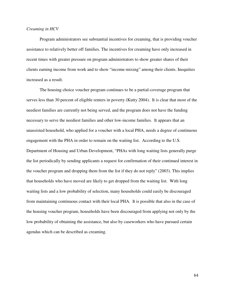# *Creaming in HCV*

Program administrators see substantial incentives for creaming, that is providing voucher assistance to relatively better off families. The incentives for creaming have only increased in recent times with greater pressure on program administrators to show greater shares of their clients earning income from work and to show "income-mixing" among their clients. Inequities increased as a result.

 The housing choice voucher program continues to be a partial-coverage program that serves less than 30 percent of eligible renters in poverty (Kutty 2004). It is clear that most of the neediest families are currently not being served, and the program does not have the funding necessary to serve the neediest families and other low-income families. It appears that an unassisted household, who applied for a voucher with a local PHA, needs a degree of continuous engagement with the PHA in order to remain on the waiting list. According to the U.S. Department of Housing and Urban Development, "PHAs with long waiting lists generally purge the list periodically by sending applicants a request for confirmation of their continued interest in the voucher program and dropping them from the list if they do not reply" (2003). This implies that households who have moved are likely to get dropped from the waiting list. With long waiting lists and a low probability of selection, many households could easily be discouraged from maintaining continuous contact with their local PHA. It is possible that also in the case of the housing voucher program, households have been discouraged from applying not only by the low probability of obtaining the assistance, but also by caseworkers who have pursued certain agendas which can be described as creaming.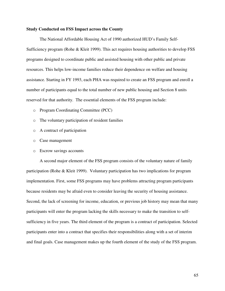## **Study Conducted on FSS Impact across the County**

 The National Affordable Housing Act of 1990 authorized HUD's Family Self-Sufficiency program (Rohe & Kleit 1999). This act requires housing authorities to develop FSS programs designed to coordinate public and assisted housing with other public and private resources. This helps low-income families reduce their dependence on welfare and housing assistance. Starting in FY 1993, each PHA was required to create an FSS program and enroll a number of participants equal to the total number of new public housing and Section 8 units reserved for that authority. The essential elements of the FSS program include:

- o Program Coordinating Committee (PCC)
- o The voluntary participation of resident families
- o A contract of participation
- o Case management
- o Escrow savings accounts

 A second major element of the FSS program consists of the voluntary nature of family participation (Rohe & Kleit 1999). Voluntary participation has two implications for program implementation. First, some FSS programs may have problems attracting program participants because residents may be afraid even to consider leaving the security of housing assistance. Second, the lack of screening for income, education, or previous job history may mean that many participants will enter the program lacking the skills necessary to make the transition to selfsufficiency in five years. The third element of the program is a contract of participation. Selected participants enter into a contract that specifies their responsibilities along with a set of interim and final goals. Case management makes up the fourth element of the study of the FSS program.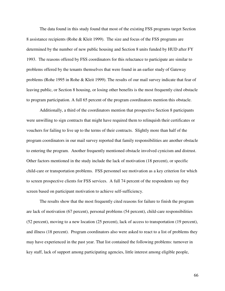The data found in this study found that most of the existing FSS programs target Section 8 assistance recipients (Rohe & Kleit 1999). The size and focus of the FSS programs are determined by the number of new public housing and Section 8 units funded by HUD after FY 1993. The reasons offered by FSS coordinators for this reluctance to participate are similar to problems offered by the tenants themselves that were found in an earlier study of Gateway problems (Rohe 1995 in Rohe & Kleit 1999). The results of our mail survey indicate that fear of leaving public, or Section 8 housing, or losing other benefits is the most frequently cited obstacle to program participation. A full 65 percent of the program coordinators mention this obstacle.

Additionally, a third of the coordinators mention that prospective Section 8 participants were unwilling to sign contracts that might have required them to relinquish their certificates or vouchers for failing to live up to the terms of their contracts. Slightly more than half of the program coordinators in our mail survey reported that family responsibilities are another obstacle to entering the program. Another frequently mentioned obstacle involved cynicism and distrust. Other factors mentioned in the study include the lack of motivation (18 percent), or specific child-care or transportation problems. FSS personnel see motivation as a key criterion for which to screen prospective clients for FSS services. A full 74 percent of the respondents say they screen based on participant motivation to achieve self-sufficiency.

 The results show that the most frequently cited reasons for failure to finish the program are lack of motivation (67 percent), personal problems (54 percent), child-care responsibilities (52 percent), moving to a new location (25 percent), lack of access to transportation (19 percent), and illness (18 percent). Program coordinators also were asked to react to a list of problems they may have experienced in the past year. That list contained the following problems: turnover in key staff, lack of support among participating agencies, little interest among eligible people,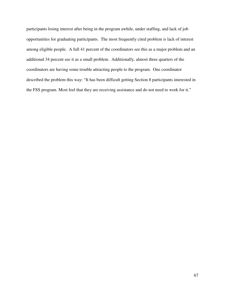participants losing interest after being in the program awhile, under staffing, and lack of job opportunities for graduating participants. The most frequently cited problem is lack of interest among eligible people. A full 41 percent of the coordinators see this as a major problem and an additional 34 percent see it as a small problem. Additionally, almost three quarters of the coordinators are having some trouble attracting people to the program. One coordinator described the problem this way: "It has been difficult getting Section 8 participants interested in the FSS program. Most feel that they are receiving assistance and do not need to work for it."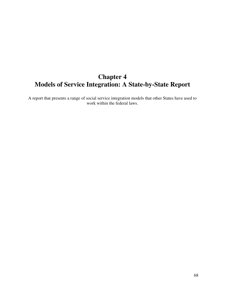# **Chapter 4 Models of Service Integration: A State-by-State Report**

A report that presents a range of social service integration models that other States have used to work within the federal laws.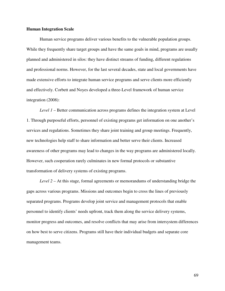## **Human Integration Scale**

Human service programs deliver various benefits to the vulnerable population groups. While they frequently share target groups and have the same goals in mind, programs are usually planned and administered in silos: they have distinct streams of funding, different regulations and professional norms. However, for the last several decades, state and local governments have made extensive efforts to integrate human service programs and serve clients more efficiently and effectively. Corbett and Noyes developed a three-Level framework of human service integration (2008):

*Level 1* – Better communication across programs defines the integration system at Level 1. Through purposeful efforts, personnel of existing programs get information on one another's services and regulations. Sometimes they share joint training and group meetings. Frequently, new technologies help staff to share information and better serve their clients. Increased awareness of other programs may lead to changes in the way programs are administered locally. However, such cooperation rarely culminates in new formal protocols or substantive transformation of delivery systems of existing programs.

*Level 2* – At this stage, formal agreements or memorandums of understanding bridge the gaps across various programs. Missions and outcomes begin to cross the lines of previously separated programs. Programs develop joint service and management protocols that enable personnel to identify clients' needs upfront, track them along the service delivery systems, monitor progress and outcomes, and resolve conflicts that may arise from intersystem differences on how best to serve citizens. Programs still have their individual budgets and separate core management teams.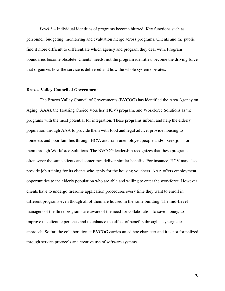*Level 3* – Individual identities of programs become blurred. Key functions such as personnel, budgeting, monitoring and evaluation merge across programs. Clients and the public find it more difficult to differentiate which agency and program they deal with. Program boundaries become obsolete. Clients' needs, not the program identities, become the driving force that organizes how the service is delivered and how the whole system operates.

#### **Brazos Valley Council of Government**

The Brazos Valley Council of Governments (BVCOG) has identified the Area Agency on Aging (AAA), the Housing Choice Voucher (HCV) program, and Workforce Solutions as the programs with the most potential for integration. These programs inform and help the elderly population through AAA to provide them with food and legal advice, provide housing to homeless and poor families through HCV, and train unemployed people and/or seek jobs for them through Workforce Solutions. The BVCOG leadership recognizes that these programs often serve the same clients and sometimes deliver similar benefits. For instance, HCV may also provide job training for its clients who apply for the housing vouchers. AAA offers employment opportunities to the elderly population who are able and willing to enter the workforce. However, clients have to undergo tiresome application procedures every time they want to enroll in different programs even though all of them are housed in the same building. The mid-Level managers of the three programs are aware of the need for collaboration to save money, to improve the client experience and to enhance the effect of benefits through a synergistic approach. So far, the collaboration at BVCOG carries an ad hoc character and it is not formalized through service protocols and creative use of software systems.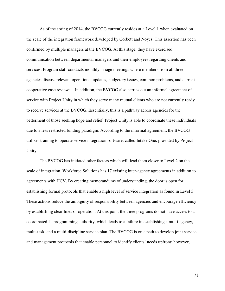As of the spring of 2014, the BVCOG currently resides at a Level 1 when evaluated on the scale of the integration framework developed by Corbett and Noyes. This assertion has been confirmed by multiple managers at the BVCOG. At this stage, they have exercised communication between departmental managers and their employees regarding clients and services. Program staff conducts monthly Triage meetings where members from all three agencies discuss relevant operational updates, budgetary issues, common problems, and current cooperative case reviews. In addition, the BVCOG also carries out an informal agreement of service with Project Unity in which they serve many mutual clients who are not currently ready to receive services at the BVCOG. Essentially, this is a pathway across agencies for the betterment of those seeking hope and relief. Project Unity is able to coordinate these individuals due to a less restricted funding paradigm. According to the informal agreement, the BVCOG utilizes training to operate service integration software, called Intake One, provided by Project Unity.

The BVCOG has initiated other factors which will lead them closer to Level 2 on the scale of integration. Workforce Solutions has 17 existing inter-agency agreements in addition to agreements with HCV. By creating memorandums of understanding, the door is open for establishing formal protocols that enable a high level of service integration as found in Level 3. These actions reduce the ambiguity of responsibility between agencies and encourage efficiency by establishing clear lines of operation. At this point the three programs do not have access to a coordinated IT programming authority, which leads to a failure in establishing a multi-agency, multi-task, and a multi-discipline service plan. The BVCOG is on a path to develop joint service and management protocols that enable personnel to identify clients' needs upfront; however,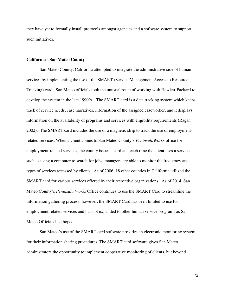they have yet to formally install protocols amongst agencies and a software system to support such initiatives.

#### **California - San Mateo County**

San Mateo County, California attempted to integrate the administrative side of human services by implementing the use of the SMART (Service Management Access to Resource Tracking) card. San Mateo officials took the unusual route of working with Hewlett-Packard to develop the system in the late 1990's. The SMART card is a data tracking system which keeps track of service needs, case narratives, information of the assigned caseworker, and it displays information on the availability of programs and services with eligibility requirements (Ragan 2002). The SMART card includes the use of a magnetic strip to track the use of employmentrelated services. When a client comes to San Mateo County's *PeninsulaWorks* office for employment-related services, the county issues a card and each time the client uses a service, such as using a computer to search for jobs, managers are able to monitor the frequency and types of services accessed by clients. As of 2006, 18 other counties in California utilized the SMART card for various services offered by their respective organizations. As of 2014, San Mateo County's *Peninsula Works* Office continues to use the SMART Card to streamline the information gathering process; however, the SMART Card has been limited to use for employment related services and has not expanded to other human service programs as San Mateo Officials had hoped.

 San Mateo's use of the SMART card software provides an electronic monitoring system for their information sharing procedures. The SMART card software gives San Mateo administrators the opportunity to implement cooperative monitoring of clients, but beyond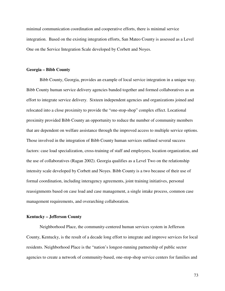minimal communication coordination and cooperative efforts, there is minimal service integration. Based on the existing integration efforts, San Mateo County is assessed as a Level One on the Service Integration Scale developed by Corbett and Noyes.

#### **Georgia – Bibb County**

Bibb County, Georgia, provides an example of local service integration in a unique way. Bibb County human service delivery agencies banded together and formed collaboratives as an effort to integrate service delivery. Sixteen independent agencies and organizations joined and relocated into a close proximity to provide the "one-stop-shop" complex effect. Locational proximity provided Bibb County an opportunity to reduce the number of community members that are dependent on welfare assistance through the improved access to multiple service options. Those involved in the integration of Bibb County human services outlined several success factors: case load specialization, cross-training of staff and employees, location organization, and the use of collaboratives (Ragan 2002). Georgia qualifies as a Level Two on the relationship intensity scale developed by Corbett and Noyes. Bibb County is a two because of their use of formal coordination, including interagency agreements, joint training initiatives, personal reassignments based on case load and case management, a single intake process, common case management requirements, and overarching collaboration.

## **Kentucky – Jefferson County**

Neighborhood Place, the community-centered human services system in Jefferson County, Kentucky, is the result of a decade long effort to integrate and improve services for local residents. Neighborhood Place is the "nation's longest-running partnership of public sector agencies to create a network of community-based, one-stop-shop service centers for families and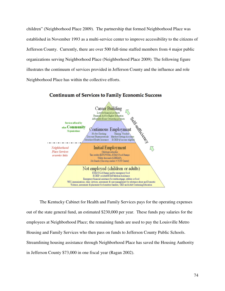children" (Neighborhood Place 2009). The partnership that formed Neighborhood Place was established in November 1993 as a multi-service center to improve accessibility to the citizens of Jefferson County. Currently, there are over 500 full-time staffed members from 4 major public organizations serving Neighborhood Place (Neighborhood Place 2009). The following figure illustrates the continuum of services provided in Jefferson County and the influence and role Neighborhood Place has within the collective efforts.



**Continuum of Services to Family Economic Success** 

The Kentucky Cabinet for Health and Family Services pays for the operating expenses out of the state general fund, an estimated \$230,000 per year. These funds pay salaries for the employees at Neighborhood Place; the remaining funds are used to pay the Louisville Metro Housing and Family Services who then pass on funds to Jefferson County Public Schools. Streamlining housing assistance through Neighborhood Place has saved the Housing Authority in Jefferson County \$73,000 in one fiscal year (Ragan 2002).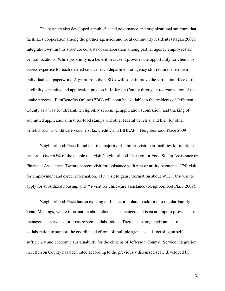The partners also developed a multi-faceted governance and organizational structure that facilitates cooperation among the partner agencies and local community residents (Ragan 2002). Integration within this structure consists of collaboration among partner agency employees at central locations. While proximity is a benefit because it provides the opportunity for clients to access expertise for each desired service, each department or agency still requires their own individualized paperwork. A grant from the USDA will soon improve the virtual interface of the eligibility screening and application process in Jefferson County through a reorganization of the intake process. EarnBenefits Online (EBO) will soon be available to the residents of Jefferson County as a way to "streamline eligibility screening, application submission, and tracking of submitted applications, first for food stamps and other federal benefits, and then for other benefits such as child care vouchers, tax credits, and LIHEAP" (Neighborhood Place 2009).

Neighborhood Place found that the majority of families visit their facilities for multiple reasons. Over 65% of the people that visit Neighborhood Place go for Food Stamp Assistance or Financial Assistance. Twenty percent visit for assistance with rent or utility payments, 17% visit for employment and career information, 11% visit to gain information about WIC, 10% visit to apply for subsidized housing, and 7% visit for child-care assistance (Neighborhood Place 2009).

Neighborhood Place has an existing unified action plan, in addition to regular Family Team Meetings, where information about clients is exchanged and is an attempt to provide case management services for cross-system collaboration. There is a strong environment of collaboration to support the coordinated efforts of multiple agencies, all-focusing on selfsufficiency and economic sustainability for the citizens of Jefferson County. Service integration in Jefferson County has been rated according to the previously discussed scale developed by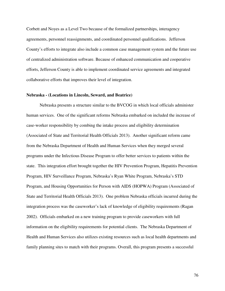Corbett and Noyes as a Level Two because of the formalized partnerships, interagency agreements, personnel reassignments, and coordinated personnel qualifications. Jefferson County's efforts to integrate also include a common case management system and the future use of centralized administration software. Because of enhanced communication and cooperative efforts, Jefferson County is able to implement coordinated service agreements and integrated collaborative efforts that improves their level of integration.

#### **Nebraska - (Locations in Lincoln, Seward, and Beatrice)**

 Nebraska presents a structure similar to the BVCOG in which local officials administer human services. One of the significant reforms Nebraska embarked on included the increase of case-worker responsibility by combing the intake process and eligibility determination (Associated of State and Territorial Health Officials 2013). Another significant reform came from the Nebraska Department of Health and Human Services when they merged several programs under the Infectious Disease Program to offer better services to patients within the state. This integration effort brought together the HIV Prevention Program, Hepatitis Prevention Program, HIV Surveillance Program, Nebraska's Ryan White Program, Nebraska's STD Program, and Housing Opportunities for Person with AIDS (HOPWA) Program (Associated of State and Territorial Health Officials 2013). One problem Nebraska officials incurred during the integration process was the caseworker's lack of knowledge of eligibility requirements (Ragan 2002). Officials embarked on a new training program to provide caseworkers with full information on the eligibility requirements for potential clients. The Nebraska Department of Health and Human Services also utilizes existing resources such as local health departments and family planning sites to match with their programs. Overall, this program presents a successful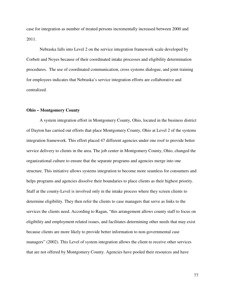case for integration as number of treated persons incrementally increased between 2000 and 2011.

 Nebraska falls into Level 2 on the service integration framework scale developed by Corbett and Noyes because of their coordinated intake processes and eligibility determination procedures. The use of coordinated communication, cross systems dialogue, and joint training for employees indicates that Nebraska's service integration efforts are collaborative and centralized.

## **Ohio – Montgomery County**

A system integration effort in Montgomery County, Ohio, located in the business district of Dayton has carried out efforts that place Montgomery County, Ohio at Level 2 of the systems integration framework. This effort placed 47 different agencies under one roof to provide better service delivery to clients in the area. The job center in Montgomery County, Ohio, changed the organizational culture to ensure that the separate programs and agencies merge into one structure. This initiative allows systems integration to become more seamless for consumers and helps programs and agencies dissolve their boundaries to place clients as their highest priority. Staff at the county-Level is involved only in the intake process where they screen clients to determine eligibility. They then refer the clients to case managers that serve as links to the services the clients need. According to Ragan, "this arrangement allows county staff to focus on eligibility and employment related issues, and facilitates determining other needs that may exist because clients are more likely to provide better information to non-governmental case managers" (2002). This Level of system integration allows the client to receive other services that are not offered by Montgomery County. Agencies have pooled their resources and have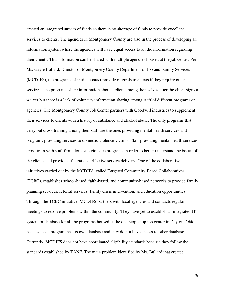created an integrated stream of funds so there is no shortage of funds to provide excellent services to clients. The agencies in Montgomery County are also in the process of developing an information system where the agencies will have equal access to all the information regarding their clients. This information can be shared with multiple agencies housed at the job center. Per Ms. Gayle Bullard, Director of Montgomery County Department of Job and Family Services (MCDJFS), the programs of initial contact provide referrals to clients if they require other services. The programs share information about a client among themselves after the client signs a waiver but there is a lack of voluntary information sharing among staff of different programs or agencies. The Montgomery County Job Center partners with Goodwill industries to supplement their services to clients with a history of substance and alcohol abuse. The only programs that carry out cross-training among their staff are the ones providing mental health services and programs providing services to domestic violence victims. Staff providing mental health services cross-train with staff from domestic violence programs in order to better understand the issues of the clients and provide efficient and effective service delivery. One of the collaborative initiatives carried out by the MCDJFS, called Targeted Community-Based Collaboratives (TCBC), establishes school-based, faith-based, and community-based networks to provide family planning services, referral services, family crisis intervention, and education opportunities. Through the TCBC initiative, MCDJFS partners with local agencies and conducts regular meetings to resolve problems within the community. They have yet to establish an integrated IT system or database for all the programs housed at the one-stop-shop job center in Dayton, Ohio because each program has its own database and they do not have access to other databases. Currently, MCDJFS does not have coordinated eligibility standards because they follow the standards established by TANF. The main problem identified by Ms. Bullard that created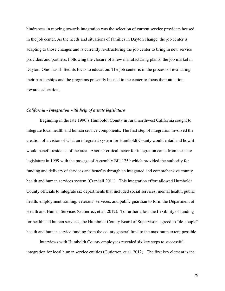hindrances in moving towards integration was the selection of current service providers housed in the job center. As the needs and situations of families in Dayton change, the job center is adapting to those changes and is currently re-structuring the job center to bring in new service providers and partners. Following the closure of a few manufacturing plants, the job market in Dayton, Ohio has shifted its focus to education. The job center is in the process of evaluating their partnerships and the programs presently housed in the center to focus their attention towards education.

## *California - Integration with help of a state legislature*

Beginning in the late 1990's Humboldt County in rural northwest California sought to integrate local health and human service components. The first step of integration involved the creation of a vision of what an integrated system for Humboldt County would entail and how it would benefit residents of the area. Another critical factor for integration came from the state legislature in 1999 with the passage of Assembly Bill 1259 which provided the authority for funding and delivery of services and benefits through an integrated and comprehensive county health and human services system (Crandall 2011). This integration effort allowed Humboldt County officials to integrate six departments that included social services, mental health, public health, employment training, veterans' services, and public guardian to form the Department of Health and Human Services (Gutierrez, et al. 2012). To further allow the flexibility of funding for health and human services, the Humboldt County Board of Supervisors agreed to "de-couple" health and human service funding from the county general fund to the maximum extent possible.

 Interviews with Humboldt County employees revealed six key steps to successful integration for local human service entities (Gutierrez, et al. 2012). The first key element is the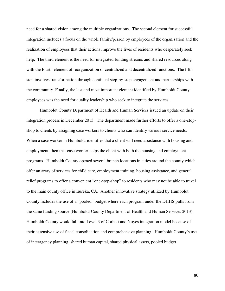need for a shared vision among the multiple organizations. The second element for successful integration includes a focus on the whole family/person by employees of the organization and the realization of employees that their actions improve the lives of residents who desperately seek help. The third element is the need for integrated funding streams and shared resources along with the fourth element of reorganization of centralized and decentralized functions. The fifth step involves transformation through continual step-by-step engagement and partnerships with the community. Finally, the last and most important element identified by Humboldt County employees was the need for quality leadership who seek to integrate the services.

 Humboldt County Department of Health and Human Services issued an update on their integration process in December 2013. The department made further efforts to offer a one-stopshop to clients by assigning case workers to clients who can identify various service needs. When a case worker in Humboldt identifies that a client will need assistance with housing and employment, then that case worker helps the client with both the housing and employment programs. Humboldt County opened several branch locations in cities around the county which offer an array of services for child care, employment training, housing assistance, and general relief programs to offer a convenient "one-stop-shop" to residents who may not be able to travel to the main county office in Eureka, CA. Another innovative strategy utilized by Humboldt County includes the use of a "pooled" budget where each program under the DHHS pulls from the same funding source (Humboldt County Department of Health and Human Services 2013). Humboldt County would fall into Level 3 of Corbett and Noyes integration model because of their extensive use of fiscal consolidation and comprehensive planning. Humboldt County's use of interagency planning, shared human capital, shared physical assets, pooled budget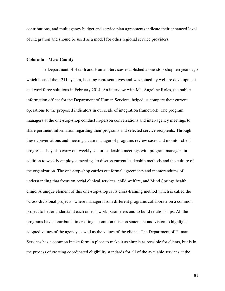contributions, and multiagency budget and service plan agreements indicate their enhanced level of integration and should be used as a model for other regional service providers.

#### **Colorado – Mesa County**

 The Department of Health and Human Services established a one-stop-shop ten years ago which housed their 211 system, housing representatives and was joined by welfare development and workforce solutions in February 2014. An interview with Ms. Angeline Roles, the public information officer for the Department of Human Services, helped us compare their current operations to the proposed indicators in our scale of integration framework. The program managers at the one-stop-shop conduct in-person conversations and inter-agency meetings to share pertinent information regarding their programs and selected service recipients. Through these conversations and meetings, case manager of programs review cases and monitor client progress. They also carry out weekly senior leadership meetings with program managers in addition to weekly employee meetings to discuss current leadership methods and the culture of the organization. The one-stop-shop carries out formal agreements and memorandums of understanding that focus on aerial clinical services, child welfare, and Mind Springs health clinic. A unique element of this one-stop-shop is its cross-training method which is called the "cross-divisional projects" where managers from different programs collaborate on a common project to better understand each other's work parameters and to build relationships. All the programs have contributed in creating a common mission statement and vision to highlight adopted values of the agency as well as the values of the clients. The Department of Human Services has a common intake form in place to make it as simple as possible for clients, but is in the process of creating coordinated eligibility standards for all of the available services at the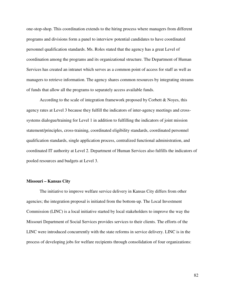one-stop-shop. This coordination extends to the hiring process where managers from different programs and divisions form a panel to interview potential candidates to have coordinated personnel qualification standards. Ms. Roles stated that the agency has a great Level of coordination among the programs and its organizational structure. The Department of Human Services has created an intranet which serves as a common point of access for staff as well as managers to retrieve information. The agency shares common resources by integrating streams of funds that allow all the programs to separately access available funds.

According to the scale of integration framework proposed by Corbett  $\&$  Noyes, this agency rates at Level 3 because they fulfill the indicators of inter-agency meetings and crosssystems dialogue/training for Level 1 in addition to fulfilling the indicators of joint mission statement/principles, cross-training, coordinated eligibility standards, coordinated personnel qualification standards, single application process, centralized functional administration, and coordinated IT authority at Level 2. Department of Human Services also fulfills the indicators of pooled resources and budgets at Level 3.

# **Missouri – Kansas City**

The initiative to improve welfare service delivery in Kansas City differs from other agencies; the integration proposal is initiated from the bottom-up. The Local Investment Commission (LINC) is a local initiative started by local stakeholders to improve the way the Missouri Department of Social Services provides services to their clients. The efforts of the LINC were introduced concurrently with the state reforms in service delivery. LINC is in the process of developing jobs for welfare recipients through consolidation of four organizations: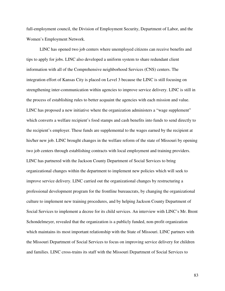full-employment council, the Division of Employment Security, Department of Labor, and the Women's Employment Network.

LINC has opened two job centers where unemployed citizens can receive benefits and tips to apply for jobs. LINC also developed a uniform system to share redundant client information with all of the Comprehensive neighborhood Services (CNS) centers. The integration effort of Kansas City is placed on Level 3 because the LINC is still focusing on strengthening inter-communication within agencies to improve service delivery. LINC is still in the process of establishing rules to better acquaint the agencies with each mission and value. LINC has proposed a new initiative where the organization administers a "wage supplement" which converts a welfare recipient's food stamps and cash benefits into funds to send directly to the recipient's employer. These funds are supplemental to the wages earned by the recipient at his/her new job. LINC brought changes in the welfare reform of the state of Missouri by opening two job centers through establishing contracts with local employment and training providers. LINC has partnered with the Jackson County Department of Social Services to bring organizational changes within the department to implement new policies which will seek to improve service delivery. LINC carried out the organizational changes by restructuring a professional development program for the frontline bureaucrats, by changing the organizational culture to implement new training procedures, and by helping Jackson County Department of Social Services to implement a decree for its child services. An interview with LINC's Mr. Brent Schondelmeyer, revealed that the organization is a publicly funded, non-profit organization which maintains its most important relationship with the State of Missouri. LINC partners with the Missouri Department of Social Services to focus on improving service delivery for children and families. LINC cross-trains its staff with the Missouri Department of Social Services to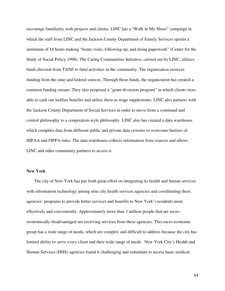encourage familiarity with projects and clients. LINC has a "Walk in My Shoes" campaign in which the staff from LINC and the Jackson County Department of Family Services spends a minimum of 16 hours making "home visits, following-up, and doing paperwork" (Center for the Study of Social Policy 1998). The Caring Communities Initiative, carried out by LINC, utilizes funds directed from TANF to fund activities in the community. The organization receives funding from the state and federal sources. Through these funds, the organization has created a common funding stream. They also proposed a "grant diversion program" in which clients were able to cash out welfare benefits and utilize them as wage supplements. LINC also partners with the Jackson County Department of Social Services in order to move from a command and control philosophy to a cooperation-style philosophy. LINC also has created a data warehouse which compiles data from different public and private data systems to overcome barriers of HIPAA and FIPPA rules. The data warehouse collects information from sources and allows LINC and other community partners to access it.

#### **New York**

The city of New York has put forth great effort on integrating its health and human services with information technology among nine city health services agencies and coordinating these agencies' programs to provide better services and benefits to New York's residents more effectively and conveniently. Approximately more than 3 million people that are socioeconomically disadvantaged are receiving services from these agencies. This socio-economic group has a wide range of needs, which are complex and difficult to address because the city has limited ability to serve every client and their wide range of needs. New York City's Health and Human Services (HHS) agencies found it challenging and redundant to access basic medical,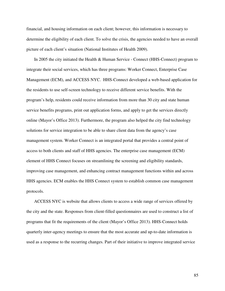financial, and housing information on each client; however, this information is necessary to determine the eligibility of each client. To solve the crisis, the agencies needed to have an overall picture of each client's situation (National Institutes of Health 2009).

In 2005 the city initiated the Health & Human Service - Connect (HHS-Connect) program to integrate their social services, which has three programs: Worker Connect, Enterprise Case Management (ECM), and ACCESS NYC. HHS-Connect developed a web-based application for the residents to use self-screen technology to receive different service benefits. With the program's help, residents could receive information from more than 30 city and state human service benefits programs, print out application forms, and apply to get the services directly online (Mayor's Office 2013). Furthermore, the program also helped the city find technology solutions for service integration to be able to share client data from the agency's case management system. Worker Connect is an integrated portal that provides a central point of access to both clients and staff of HHS agencies. The enterprise case management (ECM) element of HHS Connect focuses on streamlining the screening and eligibility standards, improving case management, and enhancing contract management functions within and across HHS agencies. ECM enables the HHS Connect system to establish common case management protocols.

ACCESS NYC is website that allows clients to access a wide range of services offered by the city and the state. Responses from client-filled questionnaires are used to construct a list of programs that fit the requirements of the client (Mayor's Office 2013). HHS-Connect holds quarterly inter-agency meetings to ensure that the most accurate and up-to-date information is used as a response to the recurring changes. Part of their initiative to improve integrated service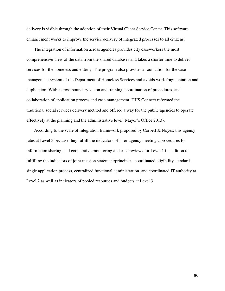delivery is visible through the adoption of their Virtual Client Service Center. This software enhancement works to improve the service delivery of integrated processes to all citizens.

The integration of information across agencies provides city caseworkers the most comprehensive view of the data from the shared databases and takes a shorter time to deliver services for the homeless and elderly. The program also provides a foundation for the case management system of the Department of Homeless Services and avoids work fragmentation and duplication. With a cross boundary vision and training, coordination of procedures, and collaboration of application process and case management, HHS Connect reformed the traditional social services delivery method and offered a way for the public agencies to operate effectively at the planning and the administrative level (Mayor's Office 2013).

According to the scale of integration framework proposed by Corbett & Noyes, this agency rates at Level 3 because they fulfill the indicators of inter-agency meetings, procedures for information sharing, and cooperative monitoring and case reviews for Level 1 in addition to fulfilling the indicators of joint mission statement/principles, coordinated eligibility standards, single application process, centralized functional administration, and coordinated IT authority at Level 2 as well as indicators of pooled resources and budgets at Level 3.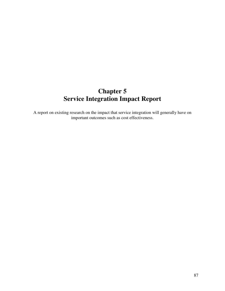# **Chapter 5 Service Integration Impact Report**

A report on existing research on the impact that service integration will generally have on important outcomes such as cost effectiveness.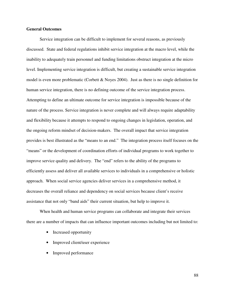## **General Outcomes**

Service integration can be difficult to implement for several reasons, as previously discussed. State and federal regulations inhibit service integration at the macro level, while the inability to adequately train personnel and funding limitations obstruct integration at the micro level. Implementing service integration is difficult, but creating a sustainable service integration model is even more problematic (Corbett & Noyes 2004). Just as there is no single definition for human service integration, there is no defining outcome of the service integration process. Attempting to define an ultimate outcome for service integration is impossible because of the nature of the process. Service integration is never complete and will always require adaptability and flexibility because it attempts to respond to ongoing changes in legislation, operation, and the ongoing reform mindset of decision-makers. The overall impact that service integration provides is best illustrated as the "means to an end." The integration process itself focuses on the "means" or the development of coordination efforts of individual programs to work together to improve service quality and delivery. The "end" refers to the ability of the programs to efficiently assess and deliver all available services to individuals in a comprehensive or holistic approach. When social service agencies deliver services in a comprehensive method, it decreases the overall reliance and dependency on social services because client's receive assistance that not only "band aids" their current situation, but help to improve it.

When health and human service programs can collaborate and integrate their services there are a number of impacts that can influence important outcomes including but not limited to:

- Increased opportunity
- Improved client/user experience
- Improved performance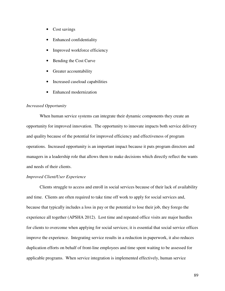- Cost savings
- Enhanced confidentiality
- Improved workforce efficiency
- Bending the Cost Curve
- Greater accountability
- Increased caseload capabilities
- Enhanced modernization

## *Increased Opportunity*

 When human service systems can integrate their dynamic components they create an opportunity for improved innovation. The opportunity to innovate impacts both service delivery and quality because of the potential for improved efficiency and effectiveness of program operations. Increased opportunity is an important impact because it puts program directors and managers in a leadership role that allows them to make decisions which directly reflect the wants and needs of their clients.

#### *Improved Client/User Experience*

 Clients struggle to access and enroll in social services because of their lack of availability and time. Clients are often required to take time off work to apply for social services and, because that typically includes a loss in pay or the potential to lose their job, they forego the experience all together (APSHA 2012). Lost time and repeated office visits are major hurdles for clients to overcome when applying for social services; it is essential that social service offices improve the experience. Integrating service results in a reduction in paperwork, it also reduces duplication efforts on behalf of front-line employees and time spent waiting to be assessed for applicable programs. When service integration is implemented effectively, human service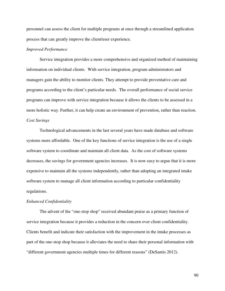personnel can assess the client for multiple programs at once through a streamlined application process that can greatly improve the client/user experience.

## *Improved Performance*

 Service integration provides a more comprehensive and organized method of maintaining information on individual clients. With service integration, program administrators and managers gain the ability to monitor clients. They attempt to provide preventative care and programs according to the client's particular needs. The overall performance of social service programs can improve with service integration because it allows the clients to be assessed in a more holistic way. Further, it can help create an environment of prevention, rather than reaction. *Cost Savings* 

 Technological advancements in the last several years have made database and software systems more affordable. One of the key functions of service integration is the use of a single software system to coordinate and maintain all client data. As the cost of software systems decreases, the savings for government agencies increases. It is now easy to argue that it is more expensive to maintain all the systems independently, rather than adopting an integrated intake software system to manage all client information according to particular confidentiality regulations.

#### *Enhanced Confidentiality*

 The advent of the "one-stop shop" received abundant praise as a primary function of service integration because it provides a reduction in the concern over client confidentiality. Clients benefit and indicate their satisfaction with the improvement in the intake processes as part of the one-stop shop because it alleviates the need to share their personal information with "different government agencies multiple times for different reasons" (DeSantis 2012).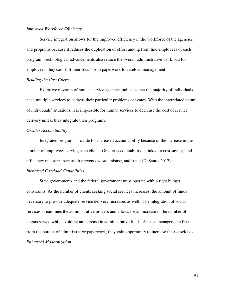# *Improved Workforce Efficiency*

 Service integration allows for the improved efficiency in the workforce of the agencies and programs because it reduces the duplication of effort among front line employees of each program. Technological advancements also reduce the overall administrative workload for employees; they can shift their focus from paperwork to caseload management.

## *Bending the Cost Curve*

 Extensive research of human service agencies indicates that the majority of individuals need multiple services to address their particular problems or issues. With the interrelated nature of individuals' situations, it is impossible for human services to decrease the cost of service delivery unless they integrate their programs.

#### *Greater Accountability*

 Integrated programs provide for increased accountability because of the increase in the number of employees serving each client. Greater accountability is linked to cost savings and efficiency measures because it prevents waste, misuse, and fraud (DeSantis 2012).

# *Increased Caseload Capabilities*

State governments and the federal government must operate within tight budget constraints. As the number of clients seeking social services increases, the amount of funds necessary to provide adequate service delivery increases as well. The integration of social services streamlines the administrative process and allows for an increase in the number of clients served while avoiding an increase in administrative funds. As case managers are free from the burden of administrative paperwork, they gain opportunity to increase their caseloads. *Enhanced Modernization*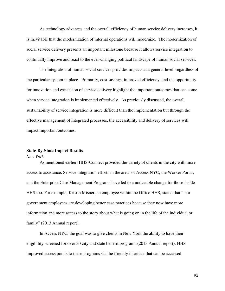As technology advances and the overall efficiency of human service delivery increases, it is inevitable that the modernization of internal operations will modernize. The modernization of social service delivery presents an important milestone because it allows service integration to continually improve and react to the ever-changing political landscape of human social services.

 The integration of human social services provides impacts at a general level, regardless of the particular system in place. Primarily, cost savings, improved efficiency, and the opportunity for innovation and expansion of service delivery highlight the important outcomes that can come when service integration is implemented effectively. As previously discussed, the overall sustainability of service integration is more difficult than the implementation but through the effective management of integrated processes, the accessibility and delivery of services will impact important outcomes.

## **State-By-State Impact Results**

# *New York*

 As mentioned earlier, HHS-Connect provided the variety of clients in the city with more access to assistance. Service integration efforts in the areas of Access NYC, the Worker Portal, and the Enterprise Case Management Programs have led to a noticeable change for those inside HHS too. For example, Kristin Misner, an employee within the Office HHS, stated that " our government employees are developing better case practices because they now have more information and more access to the story about what is going on in the life of the individual or family" (2013 Annual report).

 In Access NYC, the goal was to give clients in New York the ability to have their eligibility screened for over 30 city and state benefit programs (2013 Annual report). HHS improved access points to these programs via the friendly interface that can be accessed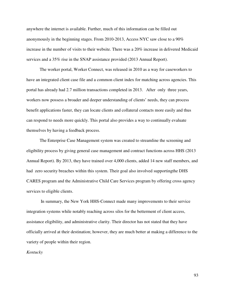anywhere the internet is available. Further, much of this information can be filled out anonymously in the beginning stages. From 2010-2013, Access NYC saw close to a 90% increase in the number of visits to their website. There was a 20% increase in delivered Medicaid services and a 35% rise in the SNAP assistance provided (2013 Annual Report).

 The worker portal, Worker Connect, was released in 2010 as a way for caseworkers to have an integrated client case file and a common client index for matching across agencies. This portal has already had 2.7 million transactions completed in 2013. After only three years, workers now possess a broader and deeper understanding of clients' needs, they can process benefit applications faster, they can locate clients and collateral contacts more easily and thus can respond to needs more quickly. This portal also provides a way to continually evaluate themselves by having a feedback process.

The Enterprise Case Management system was created to streamline the screening and eligibility process by giving general case management and contract functions across HHS (2013 Annual Report). By 2013, they have trained over 4,000 clients, added 14 new staff members, and had zero security breaches within this system. Their goal also involved supportingthe DHS CARES program and the Administrative Child Care Services program by offering cross agency services to eligible clients.

 In summary, the New York HHS-Connect made many improvements to their service integration systems while notably reaching across silos for the betterment of client access, assistance eligibility, and administrative clarity. Their director has not stated that they have officially arrived at their destination; however, they are much better at making a difference to the variety of people within their region.

#### *Kentucky*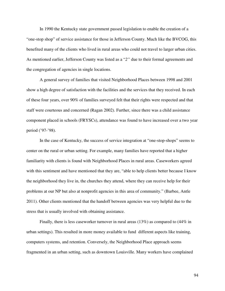In 1990 the Kentucky state government passed legislation to enable the creation of a "one-stop shop" of service assistance for those in Jefferson County. Much like the BVCOG, this benefited many of the clients who lived in rural areas who could not travel to larger urban cities. As mentioned earlier, Jefferson County was listed as a "*2"* due to their formal agreements and the congregation of agencies in single locations.

A general survey of families that visited Neighborhood Places between 1998 and 2001 show a high degree of satisfaction with the facilities and the services that they received. In each of these four years, over 90% of families surveyed felt that their rights were respected and that staff were courteous and concerned (Ragan 2002). Further, since there was a child assistance component placed in schools (FRYSCs), attendance was found to have increased over a two year period ('97-'98).

In the case of Kentucky, the success of service integration at "one-stop-shops" seems to center on the rural or urban setting. For example, many families have reported that a higher familiarity with clients is found with Neighborhood Places in rural areas. Caseworkers agreed with this sentiment and have mentioned that they are, "able to help clients better because I know the neighborhood they live in, the churches they attend, where they can receive help for their problems at our NP but also at nonprofit agencies in this area of community." (Barbee, Antle 2011). Other clients mentioned that the handoff between agencies was very helpful due to the stress that is usually involved with obtaining assistance.

Finally, there is less caseworker turnover in rural areas (13%) as compared to (44% in urban settings). This resulted in more money available to fund different aspects like training, computers systems, and retention. Conversely, the Neighborhood Place approach seems fragmented in an urban setting, such as downtown Louisville. Many workers have complained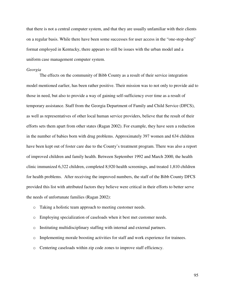that there is not a central computer system, and that they are usually unfamiliar with their clients on a regular basis. While there have been some successes for user access in the "one-stop-shop" format employed in Kentucky, there appears to still be issues with the urban model and a uniform case management computer system.

#### *Georgia*

 The effects on the community of Bibb County as a result of their service integration model mentioned earlier, has been rather positive. Their mission was to not only to provide aid to those in need, but also to provide a way of gaining self-sufficiency over time as a result of temporary assistance. Staff from the Georgia Department of Family and Child Service (DFCS), as well as representatives of other local human service providers, believe that the result of their efforts sets them apart from other states (Ragan 2002). For example, they have seen a reduction in the number of babies born with drug problems. Approximately 397 women and 634 children have been kept out of foster care due to the County's treatment program. There was also a report of improved children and family health. Between September 1992 and March 2000, the health clinic immunized 6,322 children, completed 8,920 health screenings, and treated 1,810 children for health problems. After receiving the improved numbers, the staff of the Bibb County DFCS provided this list with attributed factors they believe were critical in their efforts to better serve the needs of unfortunate families (Ragan 2002):

- o Taking a holistic team approach to meeting customer needs.
- o Employing specialization of caseloads when it best met customer needs.
- o Instituting multidisciplinary staffing with internal and external partners.
- o Implementing morale boosting activities for staff and work experience for trainees.
- o Centering caseloads within zip code zones to improve staff efficiency.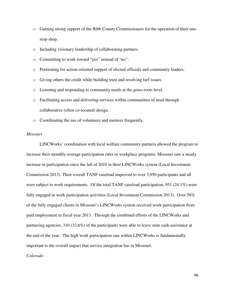- o Gaining strong support of the Bibb County Commissioners for the operation of their onestop-shop.
- o Including visionary leadership of collaborating partners.
- o Committing to work toward "yes" instead of "no".
- o Petitioning for action-oriented support of elected officials and community leaders.
- o Giving others the credit while building trust and resolving turf issues.
- o Listening and responding to community needs at the grass-roots level.
- o Facilitating access and delivering services within communities of need through collaborative (often co-located) design.
- o Coordinating the use of volunteers and mentors frequently.

## *Missouri*

LINCWorks' coordination with local welfare community partners allowed the program to increase their monthly average participation rates in workplace programs. Missouri saw a steady increase in participation since the fall of 2010 in their LINCWorks system (Local Investment Commission 2013). Their overall TANF caseload improved to over 3,950 participants and all were subject to work requirements. Of the total TANF caseload participation, 951 (24.1%) were fully engaged in work participation activities (Local Investment Commission 2013). Over 58% of the fully engaged clients in Missouri's LINCWorks system received work participation from paid employment in fiscal year 2013. Through the combined efforts of the LINCWorks and partnering agencies, 310 (32.6%) of the participants were able to leave state cash assistance at the end of the year. The high work participation rate within LINCWorks is fundamentally important to the overall impact that service integration has in Missouri.

#### *Colorado*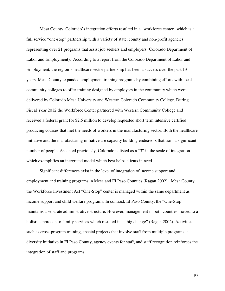Mesa County, Colorado's integration efforts resulted in a "workforce center" which is a full service "one-stop" partnership with a variety of state, county and non-profit agencies representing over 21 programs that assist job seekers and employers (Colorado Department of Labor and Employment). According to a report from the Colorado Department of Labor and Employment, the region's healthcare sector partnership has been a success over the past 13 years. Mesa County expanded employment training programs by combining efforts with local community colleges to offer training designed by employers in the community which were delivered by Colorado Mesa University and Western Colorado Community College. During Fiscal Year 2012 the Workforce Center partnered with Western Community College and received a federal grant for \$2.5 million to develop requested short term intensive certified producing courses that met the needs of workers in the manufacturing sector. Both the healthcare initiative and the manufacturing initiative are capacity building endeavors that train a significant number of people. As stated previously, Colorado is listed as a "3" in the scale of integration which exemplifies an integrated model which best helps clients in need.

 Significant differences exist in the level of integration of income support and employment and training programs in Mesa and El Paso Counties (Ragan 2002). Mesa County, the Workforce Investment Act "One-Stop" center is managed within the same department as income support and child welfare programs. In contrast, El Paso County, the "One-Stop" maintains a separate administrative structure. However, management in both counties moved to a holistic approach to family services which resulted in a "big change" (Ragan 2002). Activities such as cross-program training, special projects that involve staff from multiple programs, a diversity initiative in El Paso County, agency events for staff, and staff recognition reinforces the integration of staff and programs.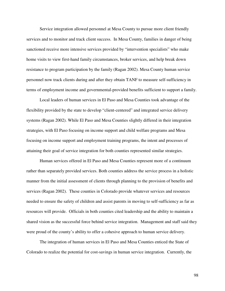Service integration allowed personnel at Mesa County to pursue more client friendly services and to monitor and track client success. In Mesa County, families in danger of being sanctioned receive more intensive services provided by "intervention specialists" who make home visits to view first-hand family circumstances, broker services, and help break down resistance to program participation by the family (Ragan 2002). Mesa County human service personnel now track clients during and after they obtain TANF to measure self-sufficiency in terms of employment income and governmental-provided benefits sufficient to support a family.

 Local leaders of human services in El Paso and Mesa Counties took advantage of the flexibility provided by the state to develop "client-centered" and integrated service delivery systems (Ragan 2002). While El Paso and Mesa Counties slightly differed in their integration strategies, with El Paso focusing on income support and child welfare programs and Mesa focusing on income support and employment training programs, the intent and processes of attaining their goal of service integration for both counties represented similar strategies.

 Human services offered in El Paso and Mesa Counties represent more of a continuum rather than separately provided services. Both counties address the service process in a holistic manner from the initial assessment of clients through planning to the provision of benefits and services (Ragan 2002). These counties in Colorado provide whatever services and resources needed to ensure the safety of children and assist parents in moving to self-sufficiency as far as resources will provide. Officials in both counties cited leadership and the ability to maintain a shared vision as the successful force behind service integration. Management and staff said they were proud of the county's ability to offer a cohesive approach to human service delivery.

 The integration of human services in El Paso and Mesa Counties enticed the State of Colorado to realize the potential for cost-savings in human service integration. Currently, the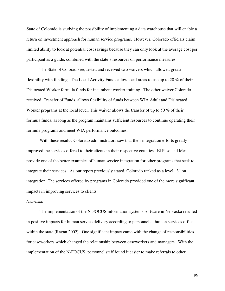State of Colorado is studying the possibility of implementing a data warehouse that will enable a return on investment approach for human service programs. However, Colorado officials claim limited ability to look at potential cost savings because they can only look at the average cost per participant as a guide, combined with the state's resources on performance measures.

 The State of Colorado requested and received two waivers which allowed greater flexibility with funding. The Local Activity Funds allow local areas to use up to 20 % of their Dislocated Worker formula funds for incumbent worker training. The other waiver Colorado received, Transfer of Funds, allows flexibility of funds between WIA Adult and Dislocated Worker programs at the local level. This waiver allows the transfer of up to 50 % of their formula funds, as long as the program maintains sufficient resources to continue operating their formula programs and meet WIA performance outcomes.

 With these results, Colorado administrators saw that their integration efforts greatly improved the services offered to their clients in their respective counties. El Paso and Mesa provide one of the better examples of human service integration for other programs that seek to integrate their services. As our report previously stated, Colorado ranked as a level "3" on integration. The services offered by programs in Colorado provided one of the more significant impacts in improving services to clients.

## *Nebraska*

 The implementation of the N-FOCUS information systems software in Nebraska resulted in positive impacts for human service delivery according to personnel at human services office within the state (Ragan 2002). One significant impact came with the change of responsibilities for caseworkers which changed the relationship between caseworkers and managers. With the implementation of the N-FOCUS, personnel staff found it easier to make referrals to other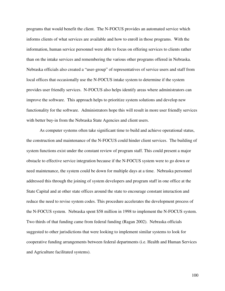programs that would benefit the client. The N-FOCUS provides an automated service which informs clients of what services are available and how to enroll in those programs. With the information, human service personnel were able to focus on offering services to clients rather than on the intake services and remembering the various other programs offered in Nebraska. Nebraska officials also created a "user-group" of representatives of service users and staff from local offices that occasionally use the N-FOCUS intake system to determine if the system provides user friendly services. N-FOCUS also helps identify areas where administrators can improve the software. This approach helps to prioritize system solutions and develop new functionality for the software. Administrators hope this will result in more user friendly services with better buy-in from the Nebraska State Agencies and client users.

 As computer systems often take significant time to build and achieve operational status, the construction and maintenance of the N-FOCUS could hinder client services. The building of system functions exist under the constant review of program staff. This could present a major obstacle to effective service integration because if the N-FOCUS system were to go down or need maintenance, the system could be down for multiple days at a time. Nebraska personnel addressed this through the joining of system developers and program staff in one office at the State Capital and at other state offices around the state to encourage constant interaction and reduce the need to revise system codes. This procedure accelerates the development process of the N-FOCUS system. Nebraska spent \$58 million in 1998 to implement the N-FOCUS system. Two thirds of that funding came from federal funding (Ragan 2002). Nebraska officials suggested to other jurisdictions that were looking to implement similar systems to look for cooperative funding arrangements between federal departments (i.e. Health and Human Services and Agriculture facilitated systems).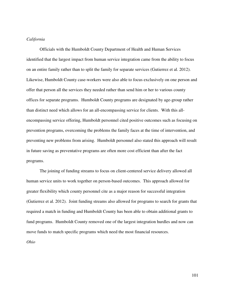# *California*

 Officials with the Humboldt County Department of Health and Human Services identified that the largest impact from human service integration came from the ability to focus on an entire family rather than to split the family for separate services (Gutierrez et al. 2012). Likewise, Humboldt County case-workers were also able to focus exclusively on one person and offer that person all the services they needed rather than send him or her to various county offices for separate programs. Humboldt County programs are designated by age-group rather than distinct need which allows for an all-encompassing service for clients. With this allencompassing service offering, Humboldt personnel cited positive outcomes such as focusing on prevention programs, overcoming the problems the family faces at the time of intervention, and preventing new problems from arising. Humboldt personnel also stated this approach will result in future saving as preventative programs are often more cost efficient than after the fact programs.

 The joining of funding streams to focus on client-centered service delivery allowed all human service units to work together on person-based outcomes. This approach allowed for greater flexibility which county personnel cite as a major reason for successful integration (Gutierrez et al. 2012). Joint funding streams also allowed for programs to search for grants that required a match in funding and Humboldt County has been able to obtain additional grants to fund programs. Humboldt County removed one of the largest integration hurdles and now can move funds to match specific programs which need the most financial resources.

*Ohio*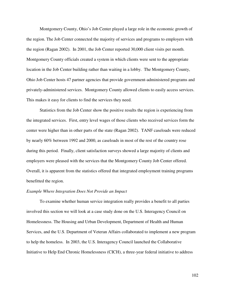Montgomery County, Ohio's Job Center played a large role in the economic growth of the region. The Job Center connected the majority of services and programs to employers with the region (Ragan 2002). In 2001, the Job Center reported 30,000 client visits per month. Montgomery County officials created a system in which clients were sent to the appropriate location in the Job Center building rather than waiting in a lobby. The Montgomery County, Ohio Job Center hosts 47 partner agencies that provide government-administered programs and privately-administered services. Montgomery County allowed clients to easily access services. This makes it easy for clients to find the services they need.

 Statistics from the Job Center show the positive results the region is experiencing from the integrated services. First, entry level wages of those clients who received services form the center were higher than in other parts of the state (Ragan 2002). TANF caseloads were reduced by nearly 60% between 1992 and 2000, as caseloads in most of the rest of the country rose during this period. Finally, client satisfaction surveys showed a large majority of clients and employers were pleased with the services that the Montgomery County Job Center offered. Overall, it is apparent from the statistics offered that integrated employment training programs benefitted the region.

#### *Example Where Integration Does Not Provide an Impact*

 To examine whether human service integration really provides a benefit to all parties involved this section we will look at a case study done on the U.S. Interagency Council on Homelessness. The Housing and Urban Development, Department of Health and Human Services, and the U.S. Department of Veteran Affairs collaborated to implement a new program to help the homeless. In 2003, the U.S. Interagency Council launched the Collaborative Initiative to Help End Chronic Homelessness (CICH), a three-year federal initiative to address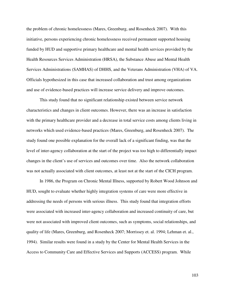the problem of chronic homelessness (Mares, Greenburg, and Rosenheck 2007). With this initiative, persons experiencing chronic homelessness received permanent supported housing funded by HUD and supportive primary healthcare and mental health services provided by the Health Resources Services Administration (HRSA), the Substance Abuse and Mental Health Services Administrations (SAMHAS) of DHHS, and the Veterans Administration (VHA) of VA. Officials hypothesized in this case that increased collaboration and trust among organizations and use of evidence-based practices will increase service delivery and improve outcomes.

 This study found that no significant relationship existed between service network characteristics and changes in client outcomes. However, there was an increase in satisfaction with the primary healthcare provider and a decrease in total service costs among clients living in networks which used evidence-based practices (Mares, Greenburg, and Rosenheck 2007). The study found one possible explanation for the overall lack of a significant finding, was that the level of inter-agency collaboration at the start of the project was too high to differentially impact changes in the client's use of services and outcomes over time. Also the network collaboration was not actually associated with client outcomes, at least not at the start of the CICH program.

 In 1986, the Program on Chronic Mental Illness, supported by Robert Wood Johnson and HUD, sought to evaluate whether highly integration systems of care were more effective in addressing the needs of persons with serious illness. This study found that integration efforts were associated with increased inter-agency collaboration and increased continuity of care, but were not associated with improved client outcomes, such as symptoms, social relationships, and quality of life (Mares, Greenburg, and Rosenheck 2007; Morrissey et. al. 1994; Lehman et. al., 1994). Similar results were found in a study by the Center for Mental Health Services in the Access to Community Care and Effective Services and Supports (ACCESS) program. While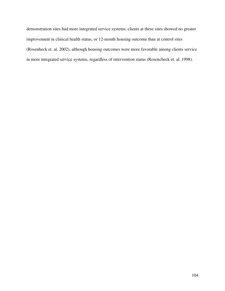demonstration sites had more integrated service systems, clients at these sites showed no greater improvement in clinical health status, or 12-month housing outcome than at control sites (Rosenheck et. al. 2002), although housing outcomes were more favorable among clients service in more integrated service systems, regardless of intervention status (Rosencheck et. al. 1998).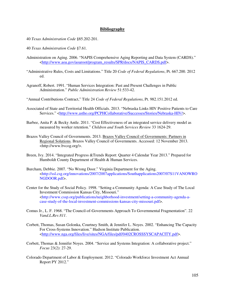## **Bibliography**

- 40 *Texas Administration Code* §85.202-201.
- 40 *Texas Administration Code* §7.61.
- Administration on Aging. 2006. "NAPIS Comprehensive Aging Reporting and Data System (CARDS)." <http://www.aoa.gov/aoaroot/program\_results/SPR/docs/NAPIS\_CARDS.pdf>.
- "Administrative Rules, Costs and Limitations." Title 20 *Code of Federal Regulations*, Pt. 667.200. 2012 ed.
- Agranoff, Robert. 1991. "Human Services Integration: Past and Present Challenges in Public Administration." *Public Administration Review* 51:533-42.
- "Annual Contributions Contract," Title 24 *Code of Federal Regulations*, Pt. 982.151.2012 ed.
- Associated of State and Territorial Health Officials. 2013. "Nebraska Links HIV Positive Patients to Care Services." <http://www.astho.org/PCPHCollaborative/Successes/Stories/Nebraska-HIV/>.
- Barbee, Anita P. & Becky Antle. 2011. "Cost Effectiveness of an integrated service delivery model as measured by worker retention." *Children and Youth Services Review* 33 1624-29.
- Brazos Valley Council of Governments. 2013. Brazos Valley Council of Governments: Partners in Regional Solutions. Brazos Valley Council of Governments. Accessed: 12 November 2013. <http://www.bvcog.org/>.
- Breen, Ivy. 2014. "Integrated Progress &Trends Report: Quarter 4 Calendar Year 2013." Prepared for Humboldt County Department of Health & Human Services.
- Burcham, Debbie. 2007. "No Wrong Door." Virginia Department for the Aging. <http://ssl.csg.org/innovations/2007/2007applications/Southapplications2007/07S11VANOWRO NGDOOR.pdf>.
- Center for the Study of Social Policy. 1998. "Setting a Community Agenda: A Case Study of The Local Investment Commission Kansas City, Missouri." <http://www.cssp.org/publications/neighborhood-investment/setting-a-community-agenda-a case-study-of-the-local-investment-commissions-kansas-city-missouri.pdf>.
- Comus Jr., L. F. 1968. "The Council-of-Governments Approach To Governmental Fragmentation". 22 *Vand.L.Rev.811*.
- Corbett, Thomas, Susan Golonka, Courtney Smith, & Jennifer L. Noyes. 2002. "Enhancing The Capacity For Cross-Systems Innovation." Hudson Institute Publication. <http://www.nga.org/files/live/sites/NGA/files/pdf/0402CROSSSYSCAPACITY.pdf>.
- Corbett, Thomas & Jennifer Noyes. 2004. "Service and Systems Integration: A collaborative project." *Focus* 23(2): 27-29.
- Colorado Department of Labor & Employment. 2012. "Colorado Workforce Investment Act Annual Report PY 2012."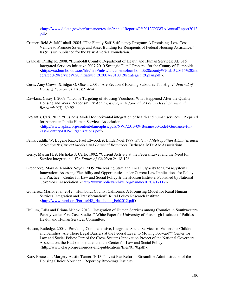<http://www.doleta.gov/performance/results/AnnualReports/PY2012/COWIAAnnualReport2012. pdf>.

- Cramer, Reid & Jeff Lubell. 2005. "The Family Self-Sufficiency Program: A Promising, Low-Cost Vehicle to Promote Savings and Asset Building for Recipients of Federal Housing Assistance." Iss.9; Issue published for the New America Foundation.
- Crandall, Phillip R. 2008. "Humboldt County: Department of Health and Human Services: AB 315 Integrated Services Initiative 2007-2010 Strategic Plan." Prepared for the County of Humboldt. <https://co.humboldt.ca.us/hhs/mhb/mhsa/documents/humboldt%20county%20ab%20315%20int egrated%20services%20initiative%202007-2010%20strategic%20plan.pdf>.
- Cutts, Amy Crews, & Edgar O. Olsen. 2001. "Are Section 8 Housing Subsidies Too High?" *Journal of Housing Economics* 11(3):214-243.
- Dawkins, Casey J. 2007. "Income Targeting of Housing Vouchers: What Happened After the Quality Housing and Work Responsibility Act?" *Cityscape: A Journal of Policy Development and Research* 9(3): 69-92.
- DeSantis, Cari. 2012. "Business Model for horizontal integration of health and human services." Prepared for American Public Human Services Association. <http://www.aphsa.org/content/dam/aphsa/pdfs/NWI/2013-09-Business-Model-Guidance-for- 21st-Century-HHS-Organizations.pdf>.
- Feins, Judith, W. Eugene Rizor, Paul Elwood, & Linda Noel.1997. *State and Metropolitan Administration of Section 8: Current Models and Potential Resources*. Bethesda, MD: Abt Associations.
- Gerry, Martin H. & Nicholas J. Certo. 1992. "Current Activity at the Federal Level and the Need for Service Integration." *The Future of Children* 2:118-126.
- Greenberg, Mark & Jennifer Noyes. 2005. "Increasing State and Local Capacity for Cross-Systems Innovation: Assessing Flexibility and Opportunities under Current Law Implications for Policy and Practice." Center for Law and Social Policy & the Hudson Institute. Published by National Governors' Association. < http://www.policyarchive.org/handle/10207/17117>.
- Gutierrez, Mario, et al. 2012. "Humboldt County, California: A Promising Model for Rural Human Services Integration and Transformation". Rural Policy Research Institute. <http://www.rupri.org/Forms/HS\_Humboldt\_Feb2012.pdf>.
- Hullum, Talia and Briana Mihok. 2013. "Integration of Human Services among Counties in Southwestern Pennsylvania: Five Case Studies." White Paper for University of Pittsburgh Institute of Politics Health and Human Services Committee.
- Hutson, Rutledge. 2004. "Providing Comprehensive, Integrated Social Services to Vulnerable Children and Families: Are There Legal Barriers at the Federal Level to Moving Forward?" Center for Law and Social Policy; Part of the Cross-Systems Innovation Project of the National Governors Association, the Hudson Institute, and the Center for Law and Social Policy. <http://www.clasp.org/resources-and-publications/files/0170.pdf>.
- Katz, Bruce and Margery Austin Turner. 2013. "Invest Bur Reform: Streamline Administration of the Housing Choice Voucher." Report by Brookings Institute.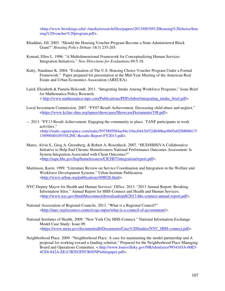<http://www.brookings.edu/~/media/research/files/papers/2013/09/30%20housing%20choice/hou sing%20voucher%20program.pdf>.

- Khadduri, Jill. 2003. "Should the Housing Voucher Program Become a State-Administered Block Grant?" *Housing Policy Debate* 14(3) 235-265.
- Konrad, Ellen L. 1996. "A Multidimensional Framework for Conceptualizing Human Services Integration Initiatives." *New Directions for Evaluations* 69:5-18.
- Kutty, Nandinee K. 2004. "Evaluation of The U.S. Housing Choice Voucher Program Under a Formal Framework." Paper prepared for presentation at the Mid-Year Meeting of the American Real Estate and Urban Economics Association (AREUEA).
- Laird, Elizabeth & Pamela Holcomb. 2011. "Integrating Intake Among Workforce Programs." Issue Brief for Mathematica Policy Research. < http://www.mathematica-mpr.com/Publications/PDFs/labor/integrating\_intake\_brief.pdf>.
- Local Investment Commission. 2007. "FY07 Result Achievement: Decreasing child abuse and neglect." <https://www.kclinc-dms.org/npass/showcases/ShowcaseDocuments/198.pdf>.
- --. 2013. "FY13 Result Achievement: Engaging the community to place TANF participants in work activities." <http://static.squarespace.com/static/5075895f84ae84c1f4ec0443/t/52d8408ae4b05a02fb806617/ 1389904010555/LINC-Results-Report-FY2013.pdf>.
- Mares, Alvin S., Greg A. Greenberg, & Robert A. Rosenheck. 2007. "HUD/HHS/VA Collaborative Initiative to Help End Chronic Homelessness National Performance Outcomes Assessment: Is System Integration Associated with Client Outcomes?" <http://aspe.hhs.gov/hsp/homelessness/CICH07/integration/report.pdf>.
- Martinson, Karin. 1999. "Literature Review on Service Coordination and Integration in the Welfare and Workforce Development Systems." Urban Institute Publication. <http://www.urban.org/publications/408026.html>.
- NYC Deputy Mayor for Health and Human Services' Office. 2013. "2013 Annual Report: Breaking Information Silos." Annual Report for HHS-Connect and Health and Human Services. <http://www.nyc.gov/html/hhsconnect/downloads/pdf/2013-hhs-connect-annual-report.pdf>.
- National Association of Regional Councils. 2013. "What is a Regional Council?" <http://narc.org/resource-center/cogs-mpos/what-is-a-council-of-government/>.
- National Institutes of Health. 2009. "New York City HHS-Connect." National Information Exchange Model Case Study: Issue 09. <https://www.niem.gov/documentsdb/Documents/Case%20Studies/NYC\_HHS-connect.pdf>.
- Neighborhood Place. 2009. "Neighborhood Place: A case for maintaining the model partnership and A proposal for working toward a funding solution." Prepared for the Neighborhood Place Managing Board and Operations Committee. < http://www.louisvilleky.gov/NR/rdonlyres/9934165A-60E5- 4CE8-842A-EEA7B5D2FFCB/0/NPwhitepaper.pdf>.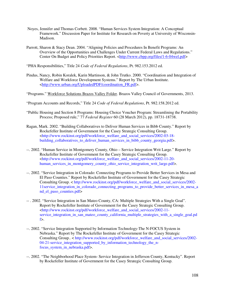- Noyes, Jennifer and Thomas Corbett. 2008. "Human Services System Integration: A Conceptual Framework." Discussion Paper for Institute for Research on Poverty at University of Wisconsin- Madison.
- Parrott, Sharon & Stacy Dean. 2004. "Aligning Policies and Procedures In Benefit Programs: An Overview of the Opportunities and Challenges Under Current Federal Laws and Regulations." Center On Budget and Policy Priorities Report. <http://www.cbpp.org/files/1-6-04wel.pdf>

"PHA Responsibilities," Title 24 *Code of Federal Regulations*, Pt. 982.153.2012 ed.

- Pindus, Nancy, Robin Koralek, Karin Martinson, & John Trutko. 2000. "Coordination and Integration of Welfare and Workforce Development Systems." Report by The Urban Institute. <http://www.urban.org/UploadedPDF/coordination\_FR.pdf>.
- "Programs." Workforce Solutions Brazos Valley Folder. Brazos Valley Council of Governments, 2013.
- "Program Accounts and Records," Title 24 *Code of Federal Regulations*, Pt. 982.158.2012 ed.
- "Public Housing and Section 8 Programs: Housing Choice Voucher Program: Streamlining the Portability Process; Proposed rule," 77 *Federal Register* 60 (28 March 2012), pp. 18731-18738.
- Ragan, Mark. 2002. "Building Collaboratives to Deliver Human Services in Bibb County." Report by Rockefeller Institute of Government for the Casey Strategic Consulting Group. <http://www.rockinst.org/pdf/workforce\_welfare\_and\_social\_services/2002-03-18 building collaboratives to deliver human services in bibb county georgia.pdf>.
- --. 2002. "Human Service in Montgomery County, Ohio Service Integration Writ Large." Report by Rockefeller Institute of Government for the Casey Strategic Consulting Group. <http://www.rockinst.org/pdf/workforce\_welfare\_and\_social\_services/2002-11-20 human\_services\_in\_montgomery\_county\_ohio\_service\_integration\_writ\_large.pdf>.
- --. 2002. "Service Integration in Colorado: Connecting Programs to Provide Better Services in Mesa and El Paso Counties." Report by Rockefeller Institute of Government for the Casey Strategic Consulting Group. < http://www.rockinst.org/pdf/workforce\_welfare\_and\_social\_services/2002- 11service\_integration\_in\_colorado\_connecting\_programs\_to\_provide\_better\_services\_in\_mesa\_a nd\_el\_paso\_counties.pdf>
- -- . 2002. "Service Integration in San Mateo County, CA: Multiple Strategies With a Single Goal". Report by Rockefeller Institute of Government for the Casey Strategic Consulting Group. <http://www.rockinst.org/pdf/workforce\_welfare\_and\_social\_services/2002-11 service integration in san mateo county california multiple strategies with a single goal.pd  $f$
- --. 2002. "Service Integration Supported by Information Technology-The N-FOCUS System in Nebraska." Report by The Rockefeller Institute of Government for the Casey Strategic Consulting Group.. < http://www.rockinst.org/pdf/workforce\_welfare\_and\_social\_services/2002- 04-21-service\_integration\_supported\_by\_information\_technology\_the\_n focus system in nebraska.pdf>.
- --. 2002. "The Neighborhood Place System- Service Integration in Jefferson County, Kentucky". Report by Rockefeller Institute of Government for the Casey Strategic Consulting Group.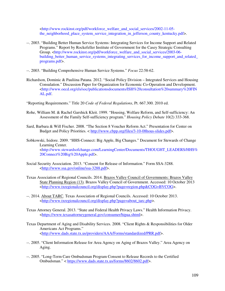<http://www.rockinst.org/pdf/workforce\_welfare\_and\_social\_services/2002-11-05 the neighborhood place system service integration in jefferson county kentucky.pdf>.

- --. 2003. "Building Better Human Service Systems: Integrating Services for Income Support and Related Programs." Report by Rockefeller Institute of Government for the Casey Strategic Consulting Group. <http://www.rockinst.org/pdf/workforce\_welfare\_and\_social\_services/2003-06building\_better\_human\_service\_systems\_integrating\_services\_for\_income\_support\_and\_related\_ programs.pdf>.
- --. 2003. "Building Comprehensive Human Service Systems." *Focus* 22:58-62.
- Richardson, Dominic & Pauliina Patana. 2012. "Social Policy Division Integrated Services and Housing Consulation." Discussion Paper for Organization for Economic Co-Operation and Development. <http://www.oecd.org/els/soc/publicationsdocuments/ISH%20consultation%20summary%20FIN AL.pdf.
- "Reporting Requirements." Title 20 *Code of Federal Regulations*, Pt. 667.300. 2010 ed.
- Rohe, William M. & Rachel Garshick Kleit. 1999. "Housing, Welfare Reform, and Self-sufficiency: An Assessment of the Family Self-sufficiency program." *Housing Policy Debate* 10(2) 333-368.
- Sard, Barbara & Will Fischer. 2008. "The Section 8 Voucher Reform Act." Presentation for Center on Budget and Policy Priorities. < http://www.cbpp.org/files/3-10-08hous-slides.pdf>.
- Sobkowski, Isidore. 2009. "HHS-Connect: Big Apple, Big Changes." Document for Stewards of Change Learning Center. <http://www.stewardsofchange.com/LearningCenter/Documents/THOUGHT\_LEADERS/HHS% 20Connect%20Big%20Apple.pdf>.
- Social Security Association. 2013. "Consent for Release of Information." Form SSA-3288. <http://www.ssa.gov/online/ssa-3288.pdf>.
- Texas Association of Regional Councils. 2014. Brazos Valley Council of Governments: Brazos Valley State Planning Region (13). Brazos Valley Council of Government. Accessed: 10 October 2013 <http://www.txregionalcouncil.org/display.php?page=region.php&COG=BVCOG>.
- --. 2014. About TARC. Texas Association of Regional Councils. Accessed: 10 October 2013. <http://www.txregionalcouncil.org/display.php?page=about\_tarc.php>.
- Texas Attorney General. 2013. "State and Federal Health Privacy Laws." Health Information Privacy. <https://www.texasattorneygeneral.gov/consumer/hipaa.shtml>.
- Texas Department of Aging and Disability Services. 2008. "Client Rights & Responsibilities for Older Americans Act Programs." <http://www.dads.state.tx.us/providers/AAA/Forms/standardized/PRR.pdf>.
- --. 2005. "Client Information Release for Area Agency on Aging of Brazos Valley." Area Agency on Aging.
- --. 2005. "Long-Term Care Ombudsman Program Consent to Release Records to the Certified Ombudsman." < https://www.dads.state.tx.us/forms/8602/8602.pdf>.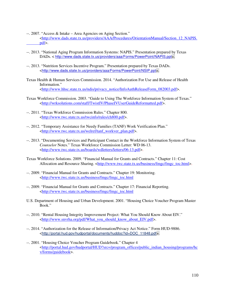- --. 2007. "Access & Intake Area Agencies on Aging Section." <http://www.dads.state.tx.us/providers/AAA/Procedures/OrientationManual/Section\_12\_NAPIS. pdf>.
- --. 2013. "National Aging Program Information Systems: NAPIS." Presentation prepared by Texas DADs. < http://www.dads.state.tx.us/providers/aaa/Forms/PowerPoint/NAPIS.ppt>.
- --. 2013. "Nutrition Services Incentive Program." Presentation prepared by Texas DADs. <http://www.dads.state.tx.us/providers/aaa/Forms/PowerPoint/NSIP.ppt>.
- Texas Health & Human Services Commission. 2014. "Authorization For Use and Release of Health Information." <http://www.hhsc.state.tx.us/ndis/privacy\_notice/InfoAuthReleaseForm\_082003.pdf>.
- Texas Workforce Commission. 2003. "Guide to Using The Workforce Information System of Texas." <http://wrksolutions.com/staff/TwistIV/PhaseIVUserGuideReformatted.pdf>.
- --. 2011. "Texas Workforce Commission Rules." Chapter 800. <http://www.twc.state.tx.us/twcinfo/rules/ch800.pdf>.
- --. 2012. "Temporary Assistance for Needy Families (TANF) Work Verification Plan." <http://www.twc.state.tx.us/welref/tanf\_workver\_plan.pdf>.
- --. 2013. "Documenting Services and Participant Contact in the Workforce Information System of Texas *Counselor* Notes." Texas Workforce Commission Letter: WD 06-13. <http://www.twc.state.tx.us/boards/wdletters/letters/06-13.pdf>.
- Texas Workforce Solutions. 2009. "Financial Manual for Grants and Contracts." Chapter 11: Cost Allocation and Resource Sharing. <http://www.twc.state.tx.us/business/fmgc/fmgc\_toc.html>.
- --. 2009. "Financial Manual for Grants and Contracts." Chapter 19: Monitoring. <http://www.twc.state.tx.us/business/fmgc/fmgc\_toc.html
- --. 2009. "Financial Manual for Grants and Contracts." Chapter 17: Financial Reporting. <http://www.twc.state.tx.us/business/fmgc/fmgc\_toc.html
- U.S. Department of Housing and Urban Development. 2001. "Housing Choice Voucher Program Master Book."
- --. 2010. "Rental Housing Integrity Improvement Project: What You Should Know About EIV." <http://www.snvrha.org/pdf/What\_you\_should\_know\_about\_EIV.pdf>.
- --. 2014. "Authorization for the Release of Information/Privacy Act Notice." Form HUD-9886. <http://portal.hud.gov/hudportal/documents/huddoc?id=DOC\_11848.pdf>.
- --. 2001. "Housing Choice Voucher Program Guidebook." Chapter 4 <http://portal.hud.gov/hudportal/HUD?src=/program\_offices/public\_indian\_housing/programs/hc v/forms/guidebook>.